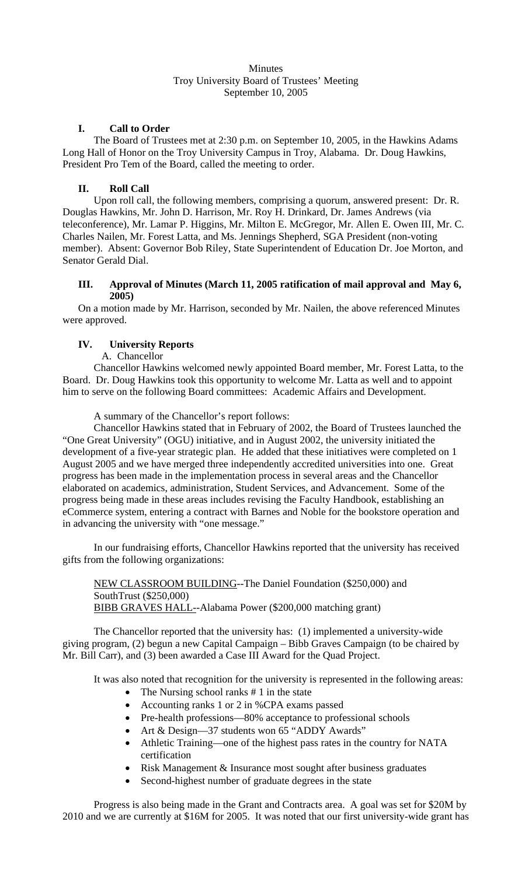## **Minutes** Troy University Board of Trustees' Meeting September 10, 2005

# **I. Call to Order**

The Board of Trustees met at 2:30 p.m. on September 10, 2005, in the Hawkins Adams Long Hall of Honor on the Troy University Campus in Troy, Alabama. Dr. Doug Hawkins, President Pro Tem of the Board, called the meeting to order.

# **II. Roll Call**

Upon roll call, the following members, comprising a quorum, answered present: Dr. R. Douglas Hawkins, Mr. John D. Harrison, Mr. Roy H. Drinkard, Dr. James Andrews (via teleconference), Mr. Lamar P. Higgins, Mr. Milton E. McGregor, Mr. Allen E. Owen III, Mr. C. Charles Nailen, Mr. Forest Latta, and Ms. Jennings Shepherd, SGA President (non-voting member). Absent: Governor Bob Riley, State Superintendent of Education Dr. Joe Morton, and Senator Gerald Dial.

# **III. Approval of Minutes (March 11, 2005 ratification of mail approval and May 6, 2005)**

On a motion made by Mr. Harrison, seconded by Mr. Nailen, the above referenced Minutes were approved.

# **IV. University Reports**

A. Chancellor

Chancellor Hawkins welcomed newly appointed Board member, Mr. Forest Latta, to the Board. Dr. Doug Hawkins took this opportunity to welcome Mr. Latta as well and to appoint him to serve on the following Board committees: Academic Affairs and Development.

A summary of the Chancellor's report follows:

 Chancellor Hawkins stated that in February of 2002, the Board of Trustees launched the "One Great University" (OGU) initiative, and in August 2002, the university initiated the development of a five-year strategic plan. He added that these initiatives were completed on 1 August 2005 and we have merged three independently accredited universities into one. Great progress has been made in the implementation process in several areas and the Chancellor elaborated on academics, administration, Student Services, and Advancement. Some of the progress being made in these areas includes revising the Faculty Handbook, establishing an eCommerce system, entering a contract with Barnes and Noble for the bookstore operation and in advancing the university with "one message."

 In our fundraising efforts, Chancellor Hawkins reported that the university has received gifts from the following organizations:

NEW CLASSROOM BUILDING--The Daniel Foundation (\$250,000) and SouthTrust (\$250,000) BIBB GRAVES HALL--Alabama Power (\$200,000 matching grant)

 The Chancellor reported that the university has: (1) implemented a university-wide giving program, (2) begun a new Capital Campaign – Bibb Graves Campaign (to be chaired by Mr. Bill Carr), and (3) been awarded a Case III Award for the Quad Project.

It was also noted that recognition for the university is represented in the following areas:

- The Nursing school ranks # 1 in the state
- Accounting ranks 1 or 2 in %CPA exams passed
- Pre-health professions—80% acceptance to professional schools
- Art & Design-37 students won 65 "ADDY Awards"
- Athletic Training—one of the highest pass rates in the country for NATA certification
- Risk Management & Insurance most sought after business graduates
- Second-highest number of graduate degrees in the state

Progress is also being made in the Grant and Contracts area. A goal was set for \$20M by 2010 and we are currently at \$16M for 2005. It was noted that our first university-wide grant has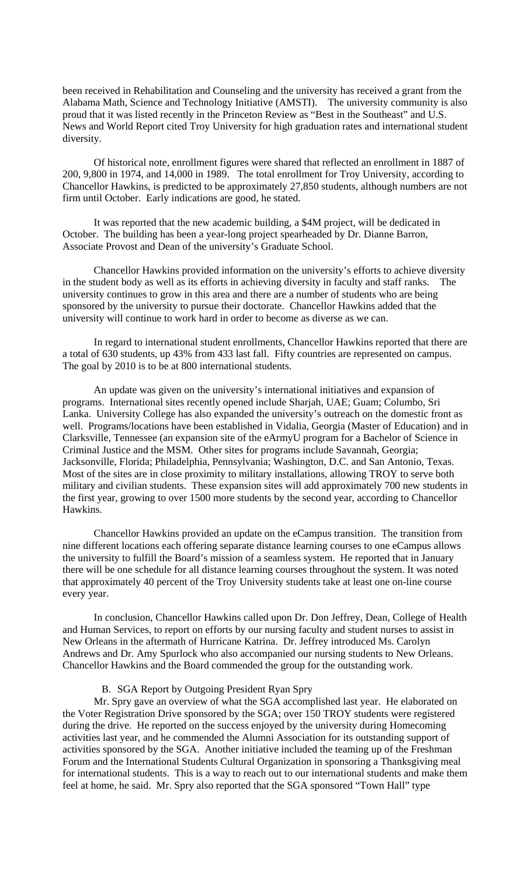been received in Rehabilitation and Counseling and the university has received a grant from the Alabama Math, Science and Technology Initiative (AMSTI). The university community is also proud that it was listed recently in the Princeton Review as "Best in the Southeast" and U.S. News and World Report cited Troy University for high graduation rates and international student diversity.

 Of historical note, enrollment figures were shared that reflected an enrollment in 1887 of 200, 9,800 in 1974, and 14,000 in 1989. The total enrollment for Troy University, according to Chancellor Hawkins, is predicted to be approximately 27,850 students, although numbers are not firm until October. Early indications are good, he stated.

 It was reported that the new academic building, a \$4M project, will be dedicated in October. The building has been a year-long project spearheaded by Dr. Dianne Barron, Associate Provost and Dean of the university's Graduate School.

 Chancellor Hawkins provided information on the university's efforts to achieve diversity in the student body as well as its efforts in achieving diversity in faculty and staff ranks. The university continues to grow in this area and there are a number of students who are being sponsored by the university to pursue their doctorate. Chancellor Hawkins added that the university will continue to work hard in order to become as diverse as we can.

 In regard to international student enrollments, Chancellor Hawkins reported that there are a total of 630 students, up 43% from 433 last fall. Fifty countries are represented on campus. The goal by 2010 is to be at 800 international students.

 An update was given on the university's international initiatives and expansion of programs. International sites recently opened include Sharjah, UAE; Guam; Columbo, Sri Lanka. University College has also expanded the university's outreach on the domestic front as well. Programs/locations have been established in Vidalia, Georgia (Master of Education) and in Clarksville, Tennessee (an expansion site of the eArmyU program for a Bachelor of Science in Criminal Justice and the MSM. Other sites for programs include Savannah, Georgia; Jacksonville, Florida; Philadelphia, Pennsylvania; Washington, D.C. and San Antonio, Texas. Most of the sites are in close proximity to military installations, allowing TROY to serve both military and civilian students. These expansion sites will add approximately 700 new students in the first year, growing to over 1500 more students by the second year, according to Chancellor Hawkins.

 Chancellor Hawkins provided an update on the eCampus transition. The transition from nine different locations each offering separate distance learning courses to one eCampus allows the university to fulfill the Board's mission of a seamless system. He reported that in January there will be one schedule for all distance learning courses throughout the system. It was noted that approximately 40 percent of the Troy University students take at least one on-line course every year.

 In conclusion, Chancellor Hawkins called upon Dr. Don Jeffrey, Dean, College of Health and Human Services, to report on efforts by our nursing faculty and student nurses to assist in New Orleans in the aftermath of Hurricane Katrina. Dr. Jeffrey introduced Ms. Carolyn Andrews and Dr. Amy Spurlock who also accompanied our nursing students to New Orleans. Chancellor Hawkins and the Board commended the group for the outstanding work.

## B. SGA Report by Outgoing President Ryan Spry

Mr. Spry gave an overview of what the SGA accomplished last year. He elaborated on the Voter Registration Drive sponsored by the SGA; over 150 TROY students were registered during the drive. He reported on the success enjoyed by the university during Homecoming activities last year, and he commended the Alumni Association for its outstanding support of activities sponsored by the SGA. Another initiative included the teaming up of the Freshman Forum and the International Students Cultural Organization in sponsoring a Thanksgiving meal for international students. This is a way to reach out to our international students and make them feel at home, he said. Mr. Spry also reported that the SGA sponsored "Town Hall" type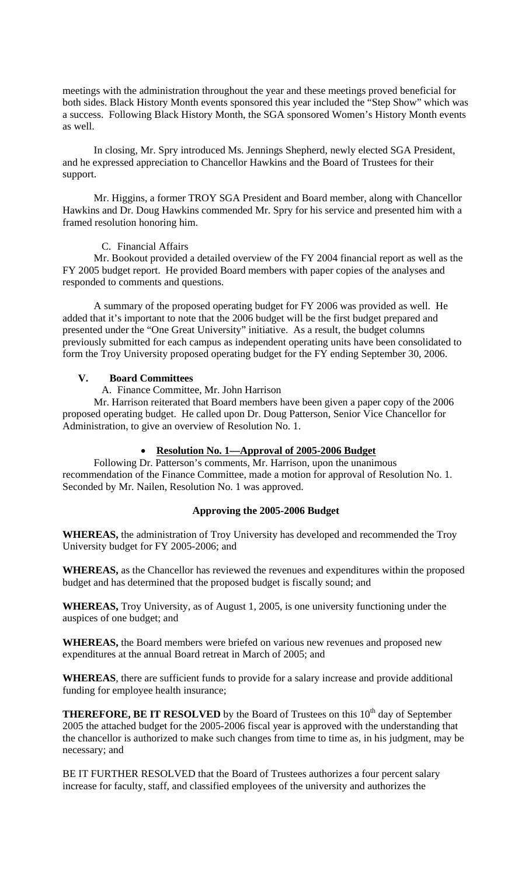meetings with the administration throughout the year and these meetings proved beneficial for both sides. Black History Month events sponsored this year included the "Step Show" which was a success. Following Black History Month, the SGA sponsored Women's History Month events as well.

 In closing, Mr. Spry introduced Ms. Jennings Shepherd, newly elected SGA President, and he expressed appreciation to Chancellor Hawkins and the Board of Trustees for their support.

 Mr. Higgins, a former TROY SGA President and Board member, along with Chancellor Hawkins and Dr. Doug Hawkins commended Mr. Spry for his service and presented him with a framed resolution honoring him.

C. Financial Affairs

Mr. Bookout provided a detailed overview of the FY 2004 financial report as well as the FY 2005 budget report. He provided Board members with paper copies of the analyses and responded to comments and questions.

 A summary of the proposed operating budget for FY 2006 was provided as well. He added that it's important to note that the 2006 budget will be the first budget prepared and presented under the "One Great University" initiative. As a result, the budget columns previously submitted for each campus as independent operating units have been consolidated to form the Troy University proposed operating budget for the FY ending September 30, 2006.

# **V. Board Committees**

A. Finance Committee, Mr. John Harrison

Mr. Harrison reiterated that Board members have been given a paper copy of the 2006 proposed operating budget. He called upon Dr. Doug Patterson, Senior Vice Chancellor for Administration, to give an overview of Resolution No. 1.

# • **Resolution No. 1—Approval of 2005-2006 Budget**

Following Dr. Patterson's comments, Mr. Harrison, upon the unanimous recommendation of the Finance Committee, made a motion for approval of Resolution No. 1. Seconded by Mr. Nailen, Resolution No. 1 was approved.

## **Approving the 2005-2006 Budget**

**WHEREAS,** the administration of Troy University has developed and recommended the Troy University budget for FY 2005-2006; and

**WHEREAS,** as the Chancellor has reviewed the revenues and expenditures within the proposed budget and has determined that the proposed budget is fiscally sound; and

**WHEREAS,** Troy University, as of August 1, 2005, is one university functioning under the auspices of one budget; and

**WHEREAS,** the Board members were briefed on various new revenues and proposed new expenditures at the annual Board retreat in March of 2005; and

**WHEREAS**, there are sufficient funds to provide for a salary increase and provide additional funding for employee health insurance;

**THEREFORE, BE IT RESOLVED** by the Board of Trustees on this  $10<sup>th</sup>$  day of September 2005 the attached budget for the 2005-2006 fiscal year is approved with the understanding that the chancellor is authorized to make such changes from time to time as, in his judgment, may be necessary; and

BE IT FURTHER RESOLVED that the Board of Trustees authorizes a four percent salary increase for faculty, staff, and classified employees of the university and authorizes the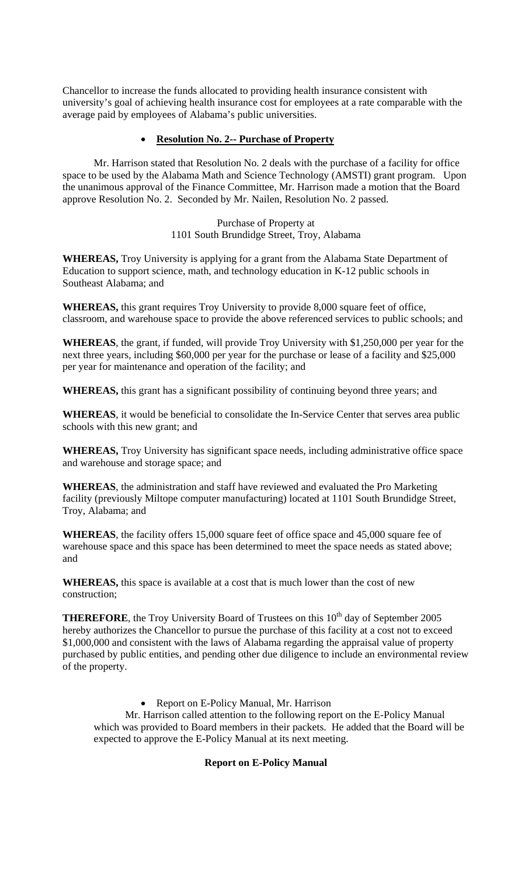Chancellor to increase the funds allocated to providing health insurance consistent with university's goal of achieving health insurance cost for employees at a rate comparable with the average paid by employees of Alabama's public universities.

# • **Resolution No. 2-- Purchase of Property**

Mr. Harrison stated that Resolution No. 2 deals with the purchase of a facility for office space to be used by the Alabama Math and Science Technology (AMSTI) grant program. Upon the unanimous approval of the Finance Committee, Mr. Harrison made a motion that the Board approve Resolution No. 2. Seconded by Mr. Nailen, Resolution No. 2 passed.

> Purchase of Property at 1101 South Brundidge Street, Troy, Alabama

**WHEREAS,** Troy University is applying for a grant from the Alabama State Department of Education to support science, math, and technology education in K-12 public schools in Southeast Alabama; and

**WHEREAS,** this grant requires Troy University to provide 8,000 square feet of office, classroom, and warehouse space to provide the above referenced services to public schools; and

**WHEREAS**, the grant, if funded, will provide Troy University with \$1,250,000 per year for the next three years, including \$60,000 per year for the purchase or lease of a facility and \$25,000 per year for maintenance and operation of the facility; and

**WHEREAS,** this grant has a significant possibility of continuing beyond three years; and

**WHEREAS**, it would be beneficial to consolidate the In-Service Center that serves area public schools with this new grant; and

**WHEREAS,** Troy University has significant space needs, including administrative office space and warehouse and storage space; and

**WHEREAS**, the administration and staff have reviewed and evaluated the Pro Marketing facility (previously Miltope computer manufacturing) located at 1101 South Brundidge Street, Troy, Alabama; and

**WHEREAS**, the facility offers 15,000 square feet of office space and 45,000 square fee of warehouse space and this space has been determined to meet the space needs as stated above; and

**WHEREAS,** this space is available at a cost that is much lower than the cost of new construction;

**THEREFORE**, the Troy University Board of Trustees on this 10<sup>th</sup> day of September 2005 hereby authorizes the Chancellor to pursue the purchase of this facility at a cost not to exceed \$1,000,000 and consistent with the laws of Alabama regarding the appraisal value of property purchased by public entities, and pending other due diligence to include an environmental review of the property.

• Report on E-Policy Manual, Mr. Harrison

Mr. Harrison called attention to the following report on the E-Policy Manual which was provided to Board members in their packets. He added that the Board will be expected to approve the E-Policy Manual at its next meeting.

# **Report on E-Policy Manual**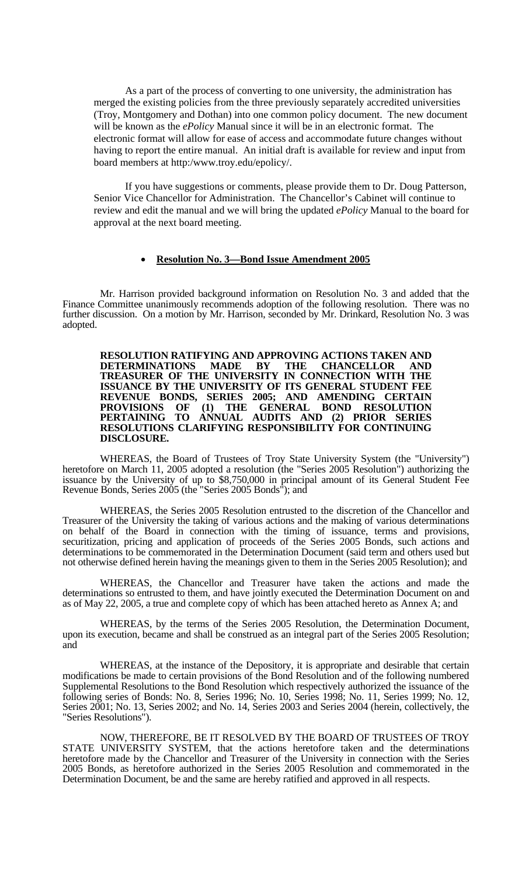As a part of the process of converting to one university, the administration has merged the existing policies from the three previously separately accredited universities (Troy, Montgomery and Dothan) into one common policy document. The new document will be known as the *ePolicy* Manual since it will be in an electronic format. The electronic format will allow for ease of access and accommodate future changes without having to report the entire manual. An initial draft is available for review and input from board members at http:/www.troy.edu/epolicy/.

If you have suggestions or comments, please provide them to Dr. Doug Patterson, Senior Vice Chancellor for Administration. The Chancellor's Cabinet will continue to review and edit the manual and we will bring the updated *ePolicy* Manual to the board for approval at the next board meeting.

## • **Resolution No. 3—Bond Issue Amendment 2005**

Mr. Harrison provided background information on Resolution No. 3 and added that the Finance Committee unanimously recommends adoption of the following resolution. There was no further discussion. On a motion by Mr. Harrison, seconded by Mr. Drinkard, Resolution No. 3 was adopted.

 **RESOLUTION RATIFYING AND APPROVING ACTIONS TAKEN AND DETERMINATIONS MADE BY THE TREASURER OF THE UNIVERSITY IN CONNECTION WITH THE ISSUANCE BY THE UNIVERSITY OF ITS GENERAL STUDENT FEE REVENUE BONDS, SERIES 2005; AND AMENDING CERTAIN PROVISIONS OF (1) THE GENERAL BOND RESOLUTION PERTAINING TO ANNUAL AUDITS AND (2) PRIOR SERIES RESOLUTIONS CLARIFYING RESPONSIBILITY FOR CONTINUING DISCLOSURE.**

 WHEREAS, the Board of Trustees of Troy State University System (the "University") heretofore on March 11, 2005 adopted a resolution (the "Series 2005 Resolution") authorizing the issuance by the University of up to \$8,750,000 in principal amount of its General Student Fee Revenue Bonds, Series 2005 (the "Series 2005 Bonds"); and

 WHEREAS, the Series 2005 Resolution entrusted to the discretion of the Chancellor and Treasurer of the University the taking of various actions and the making of various determinations on behalf of the Board in connection with the timing of issuance, terms and provisions, securitization, pricing and application of proceeds of the Series 2005 Bonds, such actions and determinations to be commemorated in the Determination Document (said term and others used but not otherwise defined herein having the meanings given to them in the Series 2005 Resolution); and

 WHEREAS, the Chancellor and Treasurer have taken the actions and made the determinations so entrusted to them, and have jointly executed the Determination Document on and as of May 22, 2005, a true and complete copy of which has been attached hereto as Annex A; and

 WHEREAS, by the terms of the Series 2005 Resolution, the Determination Document, upon its execution, became and shall be construed as an integral part of the Series 2005 Resolution; and

 WHEREAS, at the instance of the Depository, it is appropriate and desirable that certain modifications be made to certain provisions of the Bond Resolution and of the following numbered Supplemental Resolutions to the Bond Resolution which respectively authorized the issuance of the following series of Bonds: No. 8, Series 1996; No. 10, Series 1998; No. 11, Series 1999; No. 12, Series 2001; No. 13, Series 2002; and No. 14, Series 2003 and Series 2004 (herein, collectively, the "Series Resolutions").

 NOW, THEREFORE, BE IT RESOLVED BY THE BOARD OF TRUSTEES OF TROY STATE UNIVERSITY SYSTEM, that the actions heretofore taken and the determinations heretofore made by the Chancellor and Treasurer of the University in connection with the Series 2005 Bonds, as heretofore authorized in the Series 2005 Resolution and commemorated in the Determination Document, be and the same are hereby ratified and approved in all respects.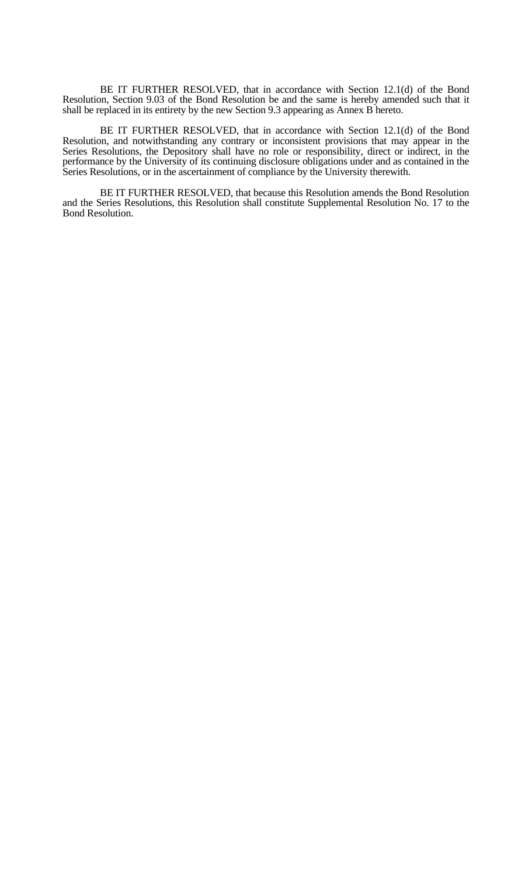BE IT FURTHER RESOLVED, that in accordance with Section 12.1(d) of the Bond Resolution, Section 9.03 of the Bond Resolution be and the same is hereby amended such that it shall be replaced in its entirety by the new Section 9.3 appearing as Annex B hereto.

 BE IT FURTHER RESOLVED, that in accordance with Section 12.1(d) of the Bond Resolution, and notwithstanding any contrary or inconsistent provisions that may appear in the Series Resolutions, the Depository shall have no role or responsibility, direct or indirect, in the performance by the University of its continuing disclosure obligations under and as contained in the Series Resolutions, or in the ascertainment of compliance by the University therewith.

 BE IT FURTHER RESOLVED, that because this Resolution amends the Bond Resolution and the Series Resolutions, this Resolution shall constitute Supplemental Resolution No. 17 to the Bond Resolution.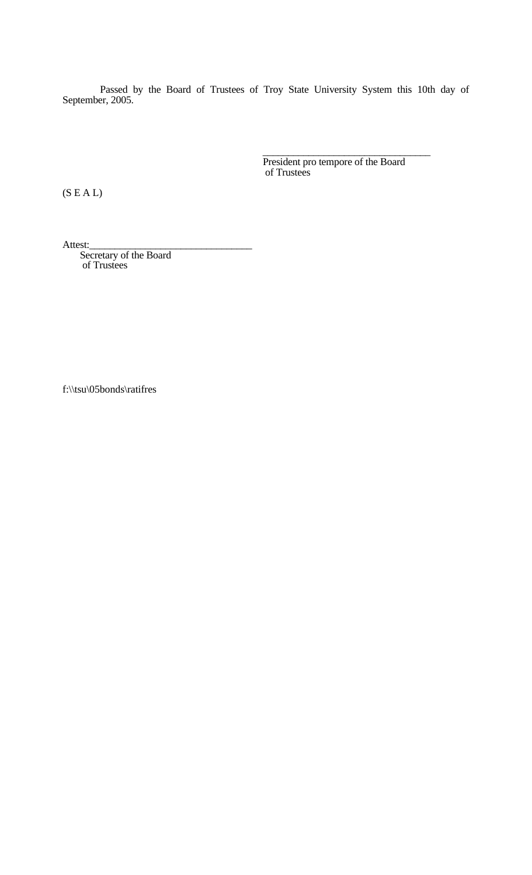Passed by the Board of Trustees of Troy State University System this 10th day of September, 2005.

President pro tempore of the Board<br>of Trustees

(S E A L)

Attest:<br>Secretary of the Board of Trustees

f:\\tsu\05bonds\ratifres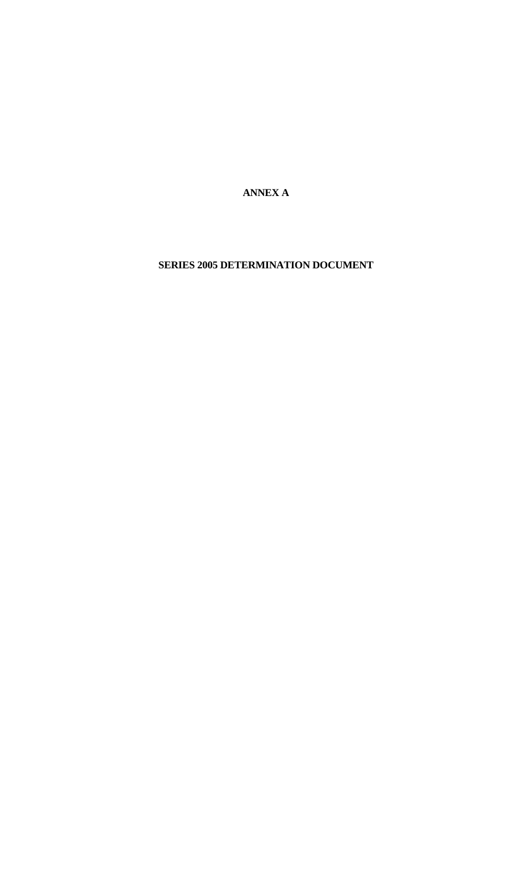**ANNEX A** 

**SERIES 2005 DETERMINATION DOCUMENT**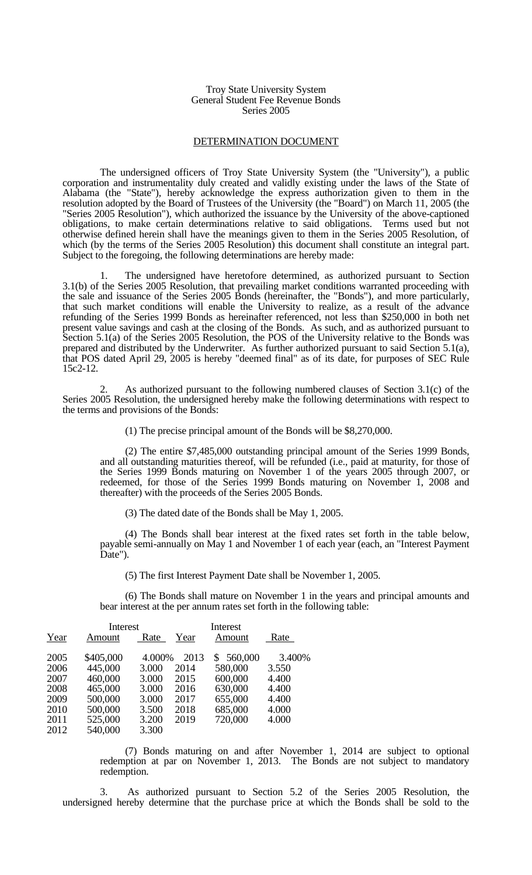### Troy State University System General Student Fee Revenue Bonds Series 2005

## DETERMINATION DOCUMENT

 The undersigned officers of Troy State University System (the "University"), a public corporation and instrumentality duly created and validly existing under the laws of the State of Alabama (the "State"), hereby acknowledge the express authorization given to them in the resolution adopted by the Board of Trustees of the University (the "Board") on March 11, 2005 (the "Series 2005 Resolution"), which authorized the issuance by the University of the above-captioned obligations, to make certain determinations relative to said obligations. Terms used but not otherwise defined herein shall have the meanings given to them in the Series 2005 Resolution, of which (by the terms of the Series 2005 Resolution) this document shall constitute an integral part. Subject to the foregoing, the following determinations are hereby made:

The undersigned have heretofore determined, as authorized pursuant to Section 3.1(b) of the Series 2005 Resolution, that prevailing market conditions warranted proceeding with the sale and issuance of the Series 2005 Bonds (hereinafter, the "Bonds"), and more particularly, that such market conditions will enable the University to realize, as a result of the advance refunding of the Series 1999 Bonds as hereinafter referenced, not less than \$250,000 in both net present value savings and cash at the closing of the Bonds. As such, and as authorized pursuant to Section 5.1(a) of the Series 2005 Resolution, the POS of the University relative to the Bonds was prepared and distributed by the Underwriter. As further authorized pursuant to said Section 5.1(a), that POS dated April 29, 2005 is hereby "deemed final" as of its date, for purposes of SEC Rule 15c2-12.

As authorized pursuant to the following numbered clauses of Section 3.1(c) of the Series 2005 Resolution, the undersigned hereby make the following determinations with respect to the terms and provisions of the Bonds:

(1) The precise principal amount of the Bonds will be \$8,270,000.

 (2) The entire \$7,485,000 outstanding principal amount of the Series 1999 Bonds, and all outstanding maturities thereof, will be refunded (i.e., paid at maturity, for those of the Series 1999 Bonds maturing on November 1 of the years 2005 through 2007, or redeemed, for those of the Series 1999 Bonds maturing on November 1, 2008 and thereafter) with the proceeds of the Series 2005 Bonds.

(3) The dated date of the Bonds shall be May 1, 2005.

 (4) The Bonds shall bear interest at the fixed rates set forth in the table below, payable semi-annually on May 1 and November 1 of each year (each, an "Interest Payment Date").

(5) The first Interest Payment Date shall be November 1, 2005.

 (6) The Bonds shall mature on November 1 in the years and principal amounts and bear interest at the per annum rates set forth in the following table:

|      | Interest  |        | Interest |         |        |
|------|-----------|--------|----------|---------|--------|
| Year | Amount    | Rate   | Year     | Amount  | Rate   |
| 2005 | \$405,000 | 4.000% | 2013     | 560,000 | 3.400% |
| 2006 | 445,000   | 3.000  | 2014     | 580,000 | 3.550  |
| 2007 | 460,000   | 3.000  | 2015     | 600,000 | 4.400  |
| 2008 | 465,000   | 3.000  | 2016     | 630,000 | 4.400  |
| 2009 | 500,000   | 3.000  | 2017     | 655,000 | 4.400  |
| 2010 | 500,000   | 3.500  | 2018     | 685,000 | 4.000  |
| 2011 | 525,000   | 3.200  | 2019     | 720,000 | 4.000  |
| 2012 | 540,000   | 3.300  |          |         |        |

 (7) Bonds maturing on and after November 1, 2014 are subject to optional redemption at par on November 1, 2013. The Bonds are not subject to mandatory redemption.

 3. As authorized pursuant to Section 5.2 of the Series 2005 Resolution, the undersigned hereby determine that the purchase price at which the Bonds shall be sold to the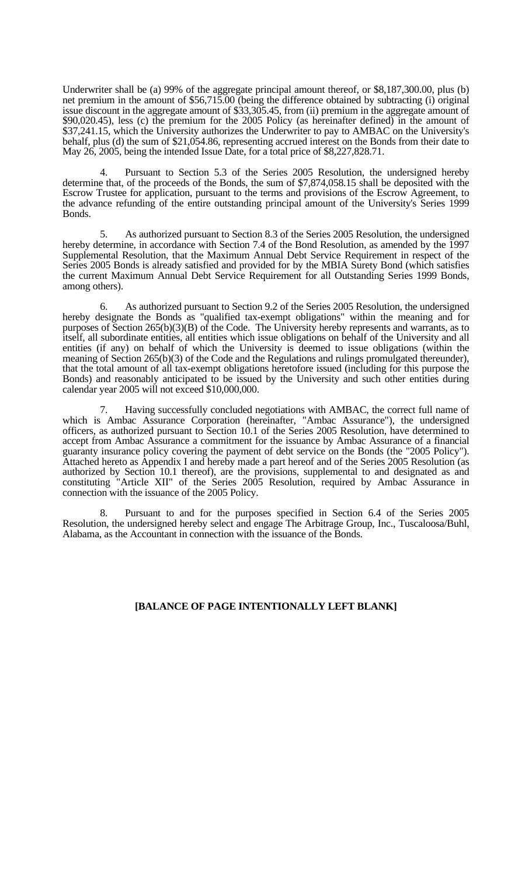Underwriter shall be (a) 99% of the aggregate principal amount thereof, or \$8,187,300.00, plus (b) net premium in the amount of \$56,715.00 (being the difference obtained by subtracting (i) original issue discount in the aggregate amount of \$33,305.45, from (ii) premium in the aggregate amount of \$90,020.45), less (c) the premium for the 2005 Policy (as hereinafter defined) in the amount of \$37,241.15, which the University authorizes the Underwriter to pay to AMBAC on the University's behalf, plus (d) the sum of \$21,054.86, representing accrued interest on the Bonds from their date to May 26, 2005, being the intended Issue Date, for a total price of \$8,227,828.71.

Pursuant to Section 5.3 of the Series 2005 Resolution, the undersigned hereby determine that, of the proceeds of the Bonds, the sum of \$7,874,058.15 shall be deposited with the Escrow Trustee for application, pursuant to the terms and provisions of the Escrow Agreement, to the advance refunding of the entire outstanding principal amount of the University's Series 1999 Bonds.

 5. As authorized pursuant to Section 8.3 of the Series 2005 Resolution, the undersigned hereby determine, in accordance with Section 7.4 of the Bond Resolution, as amended by the 1997 Supplemental Resolution, that the Maximum Annual Debt Service Requirement in respect of the Series 2005 Bonds is already satisfied and provided for by the MBIA Surety Bond (which satisfies the current Maximum Annual Debt Service Requirement for all Outstanding Series 1999 Bonds, among others).

 6. As authorized pursuant to Section 9.2 of the Series 2005 Resolution, the undersigned hereby designate the Bonds as "qualified tax-exempt obligations" within the meaning and for purposes of Section 265(b)(3)(B) of the Code. The University hereby represents and warrants, as to itself, all subordinate entities, all entities which issue obligations on behalf of the University and all entities (if any) on behalf of which the University is deemed to issue obligations (within the meaning of Section 265(b)(3) of the Code and the Regulations and rulings promulgated thereunder), that the total amount of all tax-exempt obligations heretofore issued (including for this purpose the Bonds) and reasonably anticipated to be issued by the University and such other entities during calendar year 2005 will not exceed \$10,000,000.

 7. Having successfully concluded negotiations with AMBAC, the correct full name of which is Ambac Assurance Corporation (hereinafter, "Ambac Assurance"), the undersigned officers, as authorized pursuant to Section 10.1 of the Series 2005 Resolution, have determined to accept from Ambac Assurance a commitment for the issuance by Ambac Assurance of a financial guaranty insurance policy covering the payment of debt service on the Bonds (the "2005 Policy"). Attached hereto as Appendix I and hereby made a part hereof and of the Series 2005 Resolution (as authorized by Section 10.1 thereof), are the provisions, supplemental to and designated as and constituting "Article XII" of the Series 2005 Resolution, required by Ambac Assurance in connection with the issuance of the 2005 Policy.

 8. Pursuant to and for the purposes specified in Section 6.4 of the Series 2005 Resolution, the undersigned hereby select and engage The Arbitrage Group, Inc., Tuscaloosa/Buhl, Alabama, as the Accountant in connection with the issuance of the Bonds.

## **[BALANCE OF PAGE INTENTIONALLY LEFT BLANK]**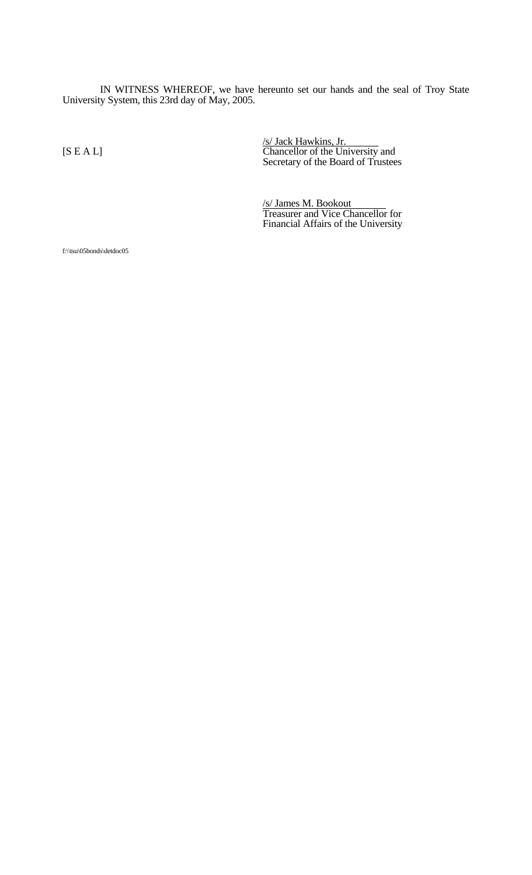IN WITNESS WHEREOF, we have hereunto set our hands and the seal of Troy State University System, this 23rd day of May, 2005.

/s/ Jack Hawkins, Jr. [S E A L] Chancellor of the University and Secretary of the Board of Trustees

/s/ James M. Bookout Treasurer and Vice Chancellor for Financial Affairs of the University

f:\\tsu\05bonds\detdoc05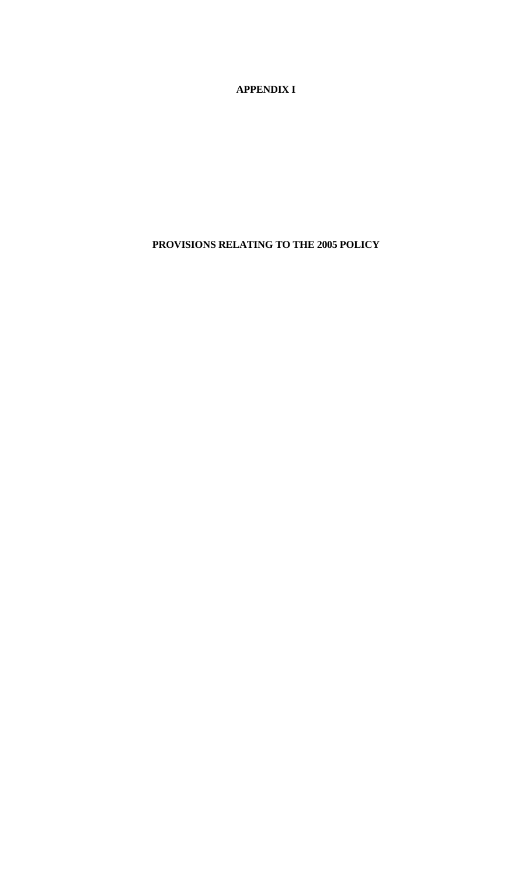**APPENDIX I**

**PROVISIONS RELATING TO THE 2005 POLICY**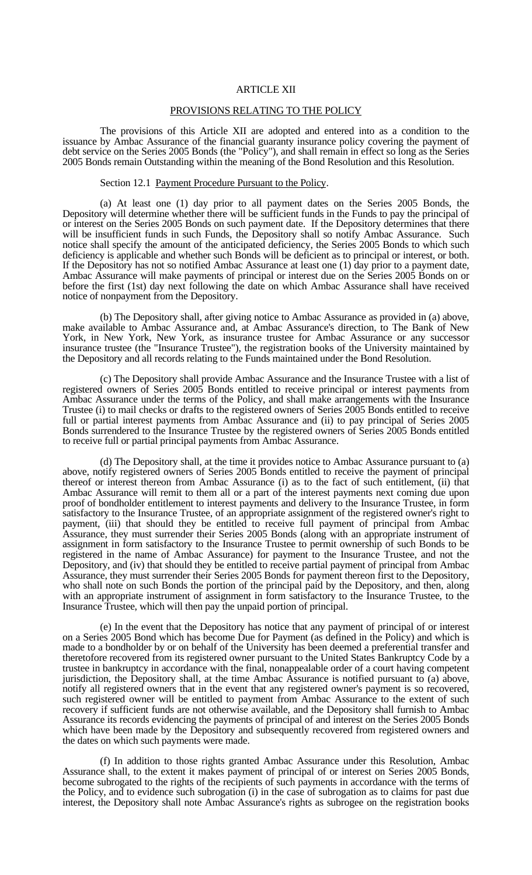### ARTICLE XII

### PROVISIONS RELATING TO THE POLICY

 The provisions of this Article XII are adopted and entered into as a condition to the issuance by Ambac Assurance of the financial guaranty insurance policy covering the payment of debt service on the Series 2005 Bonds (the "Policy"), and shall remain in effect so long as the Series 2005 Bonds remain Outstanding within the meaning of the Bond Resolution and this Resolution.

#### Section 12.1 Payment Procedure Pursuant to the Policy.

 (a) At least one (1) day prior to all payment dates on the Series 2005 Bonds, the Depository will determine whether there will be sufficient funds in the Funds to pay the principal of or interest on the Series 2005 Bonds on such payment date. If the Depository determines that there will be insufficient funds in such Funds, the Depository shall so notify Ambac Assurance. Such notice shall specify the amount of the anticipated deficiency, the Series 2005 Bonds to which such deficiency is applicable and whether such Bonds will be deficient as to principal or interest, or both. If the Depository has not so notified Ambac Assurance at least one (1) day prior to a payment date, Ambac Assurance will make payments of principal or interest due on the Series 2005 Bonds on or before the first (1st) day next following the date on which Ambac Assurance shall have received notice of nonpayment from the Depository.

 (b) The Depository shall, after giving notice to Ambac Assurance as provided in (a) above, make available to Ambac Assurance and, at Ambac Assurance's direction, to The Bank of New York, in New York, New York, as insurance trustee for Ambac Assurance or any successor insurance trustee (the "Insurance Trustee"), the registration books of the University maintained by the Depository and all records relating to the Funds maintained under the Bond Resolution.

 (c) The Depository shall provide Ambac Assurance and the Insurance Trustee with a list of registered owners of Series 2005 Bonds entitled to receive principal or interest payments from Ambac Assurance under the terms of the Policy, and shall make arrangements with the Insurance Trustee (i) to mail checks or drafts to the registered owners of Series 2005 Bonds entitled to receive full or partial interest payments from Ambac Assurance and (ii) to pay principal of Series 2005 Bonds surrendered to the Insurance Trustee by the registered owners of Series 2005 Bonds entitled to receive full or partial principal payments from Ambac Assurance.

 (d) The Depository shall, at the time it provides notice to Ambac Assurance pursuant to (a) above, notify registered owners of Series 2005 Bonds entitled to receive the payment of principal thereof or interest thereon from Ambac Assurance (i) as to the fact of such entitlement, (ii) that Ambac Assurance will remit to them all or a part of the interest payments next coming due upon proof of bondholder entitlement to interest payments and delivery to the Insurance Trustee, in form satisfactory to the Insurance Trustee, of an appropriate assignment of the registered owner's right to payment, (iii) that should they be entitled to receive full payment of principal from Ambac Assurance, they must surrender their Series 2005 Bonds (along with an appropriate instrument of assignment in form satisfactory to the Insurance Trustee to permit ownership of such Bonds to be registered in the name of Ambac Assurance) for payment to the Insurance Trustee, and not the Depository, and (iv) that should they be entitled to receive partial payment of principal from Ambac Assurance, they must surrender their Series 2005 Bonds for payment thereon first to the Depository, who shall note on such Bonds the portion of the principal paid by the Depository, and then, along with an appropriate instrument of assignment in form satisfactory to the Insurance Trustee, to the Insurance Trustee, which will then pay the unpaid portion of principal.

 (e) In the event that the Depository has notice that any payment of principal of or interest on a Series 2005 Bond which has become Due for Payment (as defined in the Policy) and which is made to a bondholder by or on behalf of the University has been deemed a preferential transfer and theretofore recovered from its registered owner pursuant to the United States Bankruptcy Code by a trustee in bankruptcy in accordance with the final, nonappealable order of a court having competent jurisdiction, the Depository shall, at the time Ambac Assurance is notified pursuant to (a) above, notify all registered owners that in the event that any registered owner's payment is so recovered, such registered owner will be entitled to payment from Ambac Assurance to the extent of such recovery if sufficient funds are not otherwise available, and the Depository shall furnish to Ambac Assurance its records evidencing the payments of principal of and interest on the Series 2005 Bonds which have been made by the Depository and subsequently recovered from registered owners and the dates on which such payments were made.

 (f) In addition to those rights granted Ambac Assurance under this Resolution, Ambac Assurance shall, to the extent it makes payment of principal of or interest on Series 2005 Bonds, become subrogated to the rights of the recipients of such payments in accordance with the terms of the Policy, and to evidence such subrogation (i) in the case of subrogation as to claims for past due interest, the Depository shall note Ambac Assurance's rights as subrogee on the registration books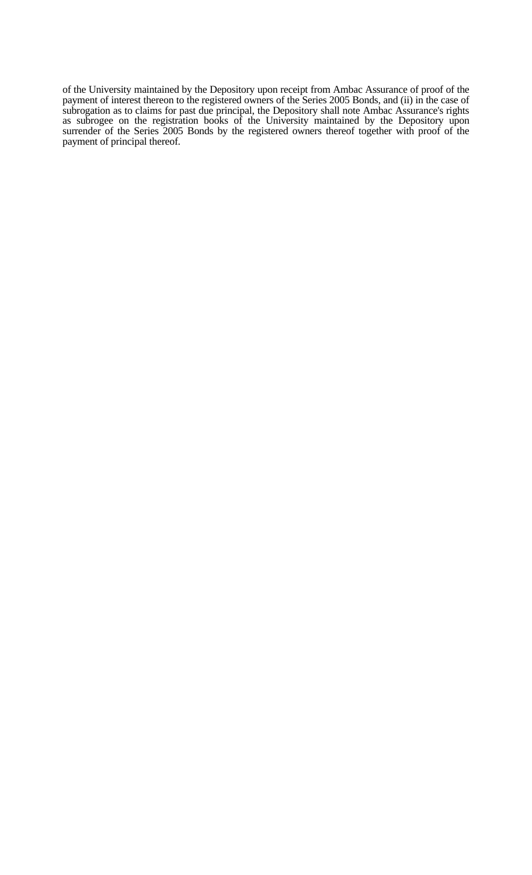of the University maintained by the Depository upon receipt from Ambac Assurance of proof of the payment of interest thereon to the registered owners of the Series 2005 Bonds, and (ii) in the case of subrogation as to claims for past due principal, the Depository shall note Ambac Assurance's rights as subrogee on the registration books of the University maintained by the Depository upon surrender of the Series 2005 Bonds by the registered owners thereof together with proof of the payment of principal thereof.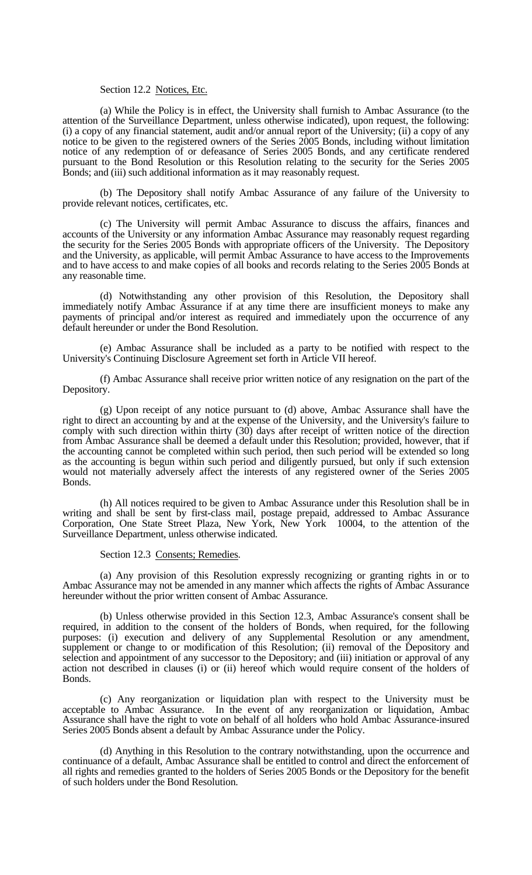### Section 12.2 Notices, Etc.

 (a) While the Policy is in effect, the University shall furnish to Ambac Assurance (to the attention of the Surveillance Department, unless otherwise indicated), upon request, the following: (i) a copy of any financial statement, audit and/or annual report of the University; (ii) a copy of any notice to be given to the registered owners of the Series 2005 Bonds, including without limitation notice of any redemption of or defeasance of Series 2005 Bonds, and any certificate rendered pursuant to the Bond Resolution or this Resolution relating to the security for the Series 2005 Bonds; and (iii) such additional information as it may reasonably request.

 (b) The Depository shall notify Ambac Assurance of any failure of the University to provide relevant notices, certificates, etc.

 (c) The University will permit Ambac Assurance to discuss the affairs, finances and accounts of the University or any information Ambac Assurance may reasonably request regarding the security for the Series 2005 Bonds with appropriate officers of the University. The Depository and the University, as applicable, will permit Ambac Assurance to have access to the Improvements and to have access to and make copies of all books and records relating to the Series 2005 Bonds at any reasonable time.

 (d) Notwithstanding any other provision of this Resolution, the Depository shall immediately notify Ambac Assurance if at any time there are insufficient moneys to make any payments of principal and/or interest as required and immediately upon the occurrence of any default hereunder or under the Bond Resolution.

 (e) Ambac Assurance shall be included as a party to be notified with respect to the University's Continuing Disclosure Agreement set forth in Article VII hereof.

 (f) Ambac Assurance shall receive prior written notice of any resignation on the part of the Depository.

 (g) Upon receipt of any notice pursuant to (d) above, Ambac Assurance shall have the right to direct an accounting by and at the expense of the University, and the University's failure to comply with such direction within thirty (30) days after receipt of written notice of the direction from Ambac Assurance shall be deemed a default under this Resolution; provided, however, that if the accounting cannot be completed within such period, then such period will be extended so long as the accounting is begun within such period and diligently pursued, but only if such extension would not materially adversely affect the interests of any registered owner of the Series 2005 Bonds.

 (h) All notices required to be given to Ambac Assurance under this Resolution shall be in writing and shall be sent by first-class mail, postage prepaid, addressed to Ambac Assurance Corporation, One State Street Plaza, New York, New York 10004, to the attention of the Surveillance Department, unless otherwise indicated.

### Section 12.3 Consents; Remedies.

 (a) Any provision of this Resolution expressly recognizing or granting rights in or to Ambac Assurance may not be amended in any manner which affects the rights of Ambac Assurance hereunder without the prior written consent of Ambac Assurance.

 (b) Unless otherwise provided in this Section 12.3, Ambac Assurance's consent shall be required, in addition to the consent of the holders of Bonds, when required, for the following purposes: (i) execution and delivery of any Supplemental Resolution or any amendment, supplement or change to or modification of this Resolution; (ii) removal of the Depository and selection and appointment of any successor to the Depository; and (iii) initiation or approval of any action not described in clauses (i) or (ii) hereof which would require consent of the holders of Bonds.

 (c) Any reorganization or liquidation plan with respect to the University must be acceptable to Ambac Assurance. In the event of any reorganization or liquidation, Ambac Assurance shall have the right to vote on behalf of all holders who hold Ambac Assurance-insured Series 2005 Bonds absent a default by Ambac Assurance under the Policy.

 (d) Anything in this Resolution to the contrary notwithstanding, upon the occurrence and continuance of a default, Ambac Assurance shall be entitled to control and direct the enforcement of all rights and remedies granted to the holders of Series 2005 Bonds or the Depository for the benefit of such holders under the Bond Resolution.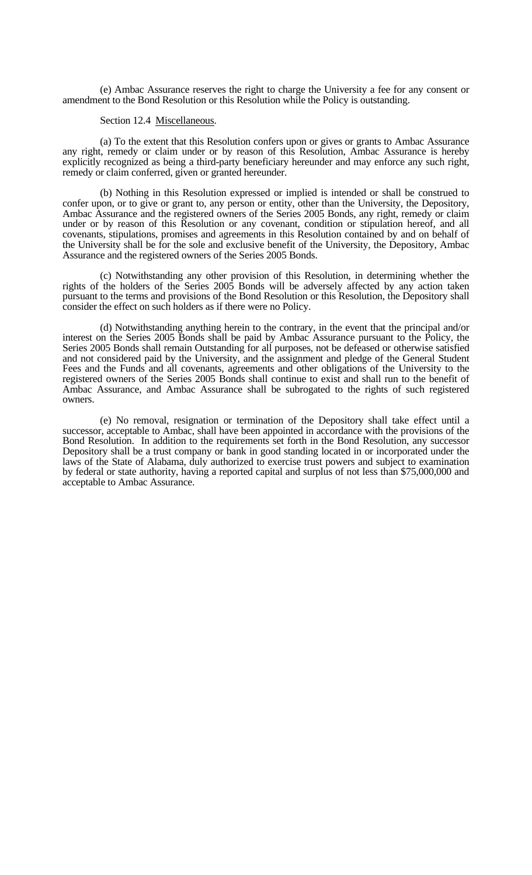(e) Ambac Assurance reserves the right to charge the University a fee for any consent or amendment to the Bond Resolution or this Resolution while the Policy is outstanding.

### Section 12.4 Miscellaneous.

 (a) To the extent that this Resolution confers upon or gives or grants to Ambac Assurance any right, remedy or claim under or by reason of this Resolution, Ambac Assurance is hereby explicitly recognized as being a third-party beneficiary hereunder and may enforce any such right, remedy or claim conferred, given or granted hereunder.

 (b) Nothing in this Resolution expressed or implied is intended or shall be construed to confer upon, or to give or grant to, any person or entity, other than the University, the Depository, Ambac Assurance and the registered owners of the Series 2005 Bonds, any right, remedy or claim under or by reason of this Resolution or any covenant, condition or stipulation hereof, and all covenants, stipulations, promises and agreements in this Resolution contained by and on behalf of the University shall be for the sole and exclusive benefit of the University, the Depository, Ambac Assurance and the registered owners of the Series 2005 Bonds.

 (c) Notwithstanding any other provision of this Resolution, in determining whether the rights of the holders of the Series 2005 Bonds will be adversely affected by any action taken pursuant to the terms and provisions of the Bond Resolution or this Resolution, the Depository shall consider the effect on such holders as if there were no Policy.

 (d) Notwithstanding anything herein to the contrary, in the event that the principal and/or interest on the Series 2005 Bonds shall be paid by Ambac Assurance pursuant to the Policy, the Series 2005 Bonds shall remain Outstanding for all purposes, not be defeased or otherwise satisfied and not considered paid by the University, and the assignment and pledge of the General Student Fees and the Funds and all covenants, agreements and other obligations of the University to the registered owners of the Series 2005 Bonds shall continue to exist and shall run to the benefit of Ambac Assurance, and Ambac Assurance shall be subrogated to the rights of such registered owners.

 (e) No removal, resignation or termination of the Depository shall take effect until a successor, acceptable to Ambac, shall have been appointed in accordance with the provisions of the Bond Resolution. In addition to the requirements set forth in the Bond Resolution, any successor Depository shall be a trust company or bank in good standing located in or incorporated under the laws of the State of Alabama, duly authorized to exercise trust powers and subject to examination by federal or state authority, having a reported capital and surplus of not less than \$75,000,000 and acceptable to Ambac Assurance.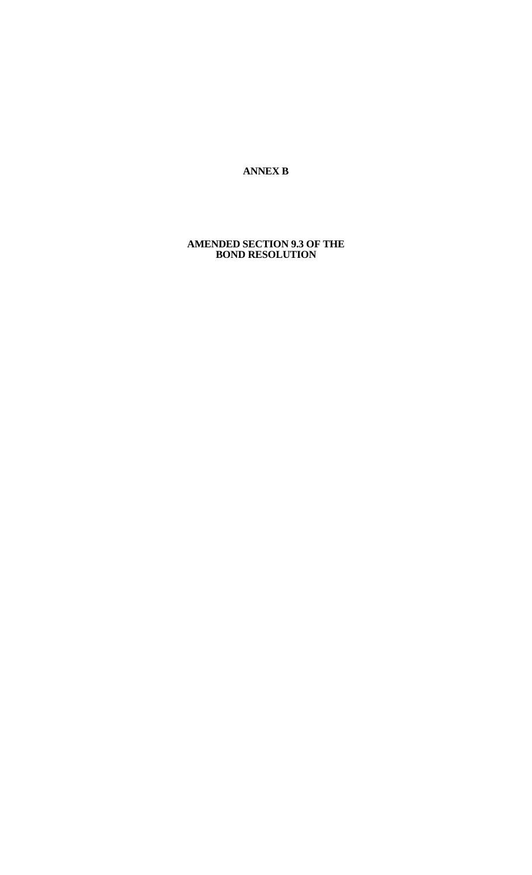**ANNEX B** 

### **AMENDED SECTION 9.3 OF THE BOND RESOLUTION**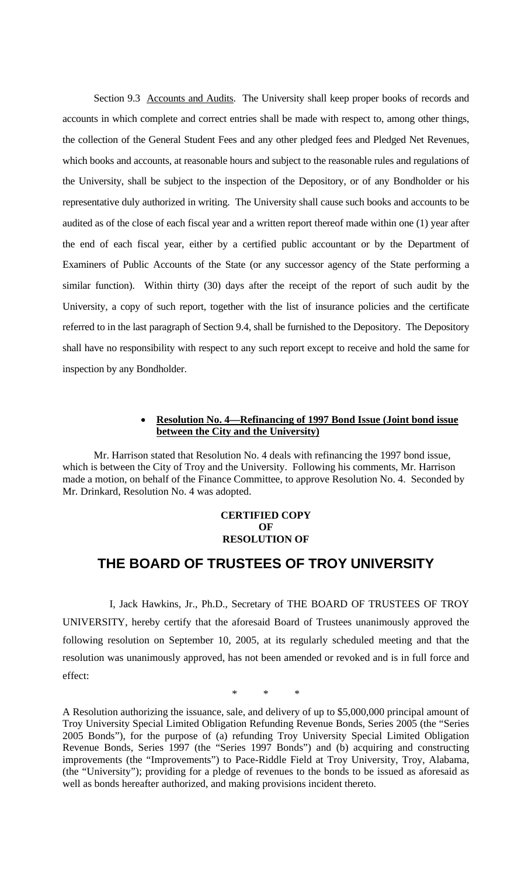Section 9.3 Accounts and Audits. The University shall keep proper books of records and accounts in which complete and correct entries shall be made with respect to, among other things, the collection of the General Student Fees and any other pledged fees and Pledged Net Revenues, which books and accounts, at reasonable hours and subject to the reasonable rules and regulations of the University, shall be subject to the inspection of the Depository, or of any Bondholder or his representative duly authorized in writing. The University shall cause such books and accounts to be audited as of the close of each fiscal year and a written report thereof made within one (1) year after the end of each fiscal year, either by a certified public accountant or by the Department of Examiners of Public Accounts of the State (or any successor agency of the State performing a similar function). Within thirty (30) days after the receipt of the report of such audit by the University, a copy of such report, together with the list of insurance policies and the certificate referred to in the last paragraph of Section 9.4, shall be furnished to the Depository. The Depository shall have no responsibility with respect to any such report except to receive and hold the same for inspection by any Bondholder.

## • **Resolution No. 4—Refinancing of 1997 Bond Issue (Joint bond issue between the City and the University)**

Mr. Harrison stated that Resolution No. 4 deals with refinancing the 1997 bond issue, which is between the City of Troy and the University. Following his comments, Mr. Harrison made a motion, on behalf of the Finance Committee, to approve Resolution No. 4. Seconded by Mr. Drinkard, Resolution No. 4 was adopted.

# **CERTIFIED COPY OF RESOLUTION OF**

# **THE BOARD OF TRUSTEES OF TROY UNIVERSITY**

I, Jack Hawkins, Jr., Ph.D., Secretary of THE BOARD OF TRUSTEES OF TROY UNIVERSITY, hereby certify that the aforesaid Board of Trustees unanimously approved the following resolution on September 10, 2005, at its regularly scheduled meeting and that the resolution was unanimously approved, has not been amended or revoked and is in full force and effect:

\* \* \*

A Resolution authorizing the issuance, sale, and delivery of up to \$5,000,000 principal amount of Troy University Special Limited Obligation Refunding Revenue Bonds, Series 2005 (the "Series 2005 Bonds"), for the purpose of (a) refunding Troy University Special Limited Obligation Revenue Bonds, Series 1997 (the "Series 1997 Bonds") and (b) acquiring and constructing improvements (the "Improvements") to Pace-Riddle Field at Troy University, Troy, Alabama, (the "University"); providing for a pledge of revenues to the bonds to be issued as aforesaid as well as bonds hereafter authorized, and making provisions incident thereto.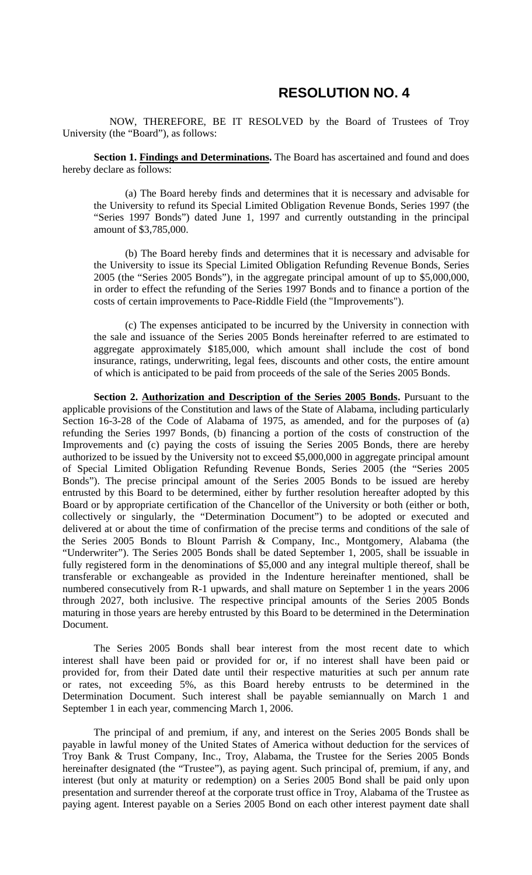# **RESOLUTION NO. 4**

NOW, THEREFORE, BE IT RESOLVED by the Board of Trustees of Troy University (the "Board"), as follows:

Section 1. Findings and Determinations. The Board has ascertained and found and does hereby declare as follows:

 (a) The Board hereby finds and determines that it is necessary and advisable for the University to refund its Special Limited Obligation Revenue Bonds, Series 1997 (the "Series 1997 Bonds") dated June 1, 1997 and currently outstanding in the principal amount of \$3,785,000.

(b) The Board hereby finds and determines that it is necessary and advisable for the University to issue its Special Limited Obligation Refunding Revenue Bonds, Series 2005 (the "Series 2005 Bonds"), in the aggregate principal amount of up to \$5,000,000, in order to effect the refunding of the Series 1997 Bonds and to finance a portion of the costs of certain improvements to Pace-Riddle Field (the "Improvements").

(c) The expenses anticipated to be incurred by the University in connection with the sale and issuance of the Series 2005 Bonds hereinafter referred to are estimated to aggregate approximately \$185,000, which amount shall include the cost of bond insurance, ratings, underwriting, legal fees, discounts and other costs, the entire amount of which is anticipated to be paid from proceeds of the sale of the Series 2005 Bonds.

**Section 2. Authorization and Description of the Series 2005 Bonds.** Pursuant to the applicable provisions of the Constitution and laws of the State of Alabama, including particularly Section 16-3-28 of the Code of Alabama of 1975, as amended, and for the purposes of (a) refunding the Series 1997 Bonds, (b) financing a portion of the costs of construction of the Improvements and (c) paying the costs of issuing the Series 2005 Bonds, there are hereby authorized to be issued by the University not to exceed \$5,000,000 in aggregate principal amount of Special Limited Obligation Refunding Revenue Bonds, Series 2005 (the "Series 2005 Bonds"). The precise principal amount of the Series 2005 Bonds to be issued are hereby entrusted by this Board to be determined, either by further resolution hereafter adopted by this Board or by appropriate certification of the Chancellor of the University or both (either or both, collectively or singularly, the "Determination Document") to be adopted or executed and delivered at or about the time of confirmation of the precise terms and conditions of the sale of the Series 2005 Bonds to Blount Parrish & Company, Inc., Montgomery, Alabama (the "Underwriter"). The Series 2005 Bonds shall be dated September 1, 2005, shall be issuable in fully registered form in the denominations of \$5,000 and any integral multiple thereof, shall be transferable or exchangeable as provided in the Indenture hereinafter mentioned, shall be numbered consecutively from R-1 upwards, and shall mature on September 1 in the years 2006 through 2027, both inclusive. The respective principal amounts of the Series 2005 Bonds maturing in those years are hereby entrusted by this Board to be determined in the Determination Document.

The Series 2005 Bonds shall bear interest from the most recent date to which interest shall have been paid or provided for or, if no interest shall have been paid or provided for, from their Dated date until their respective maturities at such per annum rate or rates, not exceeding 5%, as this Board hereby entrusts to be determined in the Determination Document. Such interest shall be payable semiannually on March 1 and September 1 in each year, commencing March 1, 2006.

The principal of and premium, if any, and interest on the Series 2005 Bonds shall be payable in lawful money of the United States of America without deduction for the services of Troy Bank & Trust Company, Inc., Troy, Alabama, the Trustee for the Series 2005 Bonds hereinafter designated (the "Trustee"), as paying agent. Such principal of, premium, if any, and interest (but only at maturity or redemption) on a Series 2005 Bond shall be paid only upon presentation and surrender thereof at the corporate trust office in Troy, Alabama of the Trustee as paying agent. Interest payable on a Series 2005 Bond on each other interest payment date shall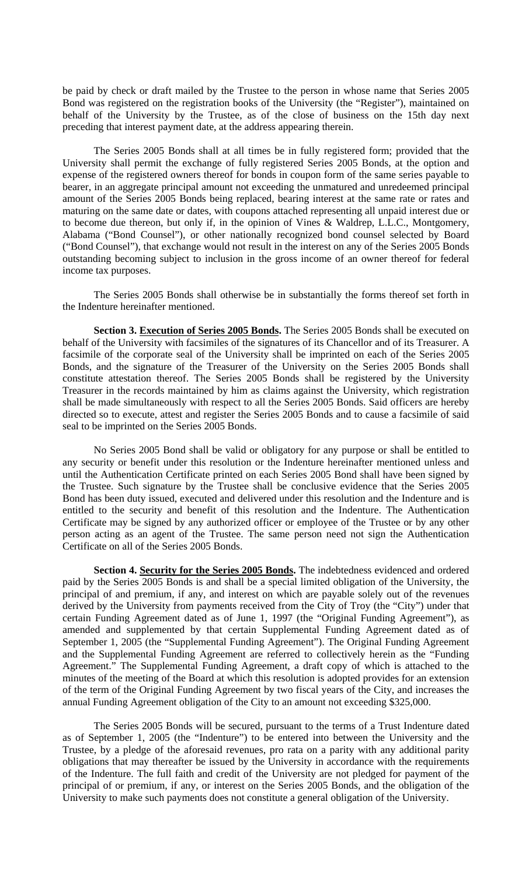be paid by check or draft mailed by the Trustee to the person in whose name that Series 2005 Bond was registered on the registration books of the University (the "Register"), maintained on behalf of the University by the Trustee, as of the close of business on the 15th day next preceding that interest payment date, at the address appearing therein.

The Series 2005 Bonds shall at all times be in fully registered form; provided that the University shall permit the exchange of fully registered Series 2005 Bonds, at the option and expense of the registered owners thereof for bonds in coupon form of the same series payable to bearer, in an aggregate principal amount not exceeding the unmatured and unredeemed principal amount of the Series 2005 Bonds being replaced, bearing interest at the same rate or rates and maturing on the same date or dates, with coupons attached representing all unpaid interest due or to become due thereon, but only if, in the opinion of Vines & Waldrep, L.L.C., Montgomery, Alabama ("Bond Counsel"), or other nationally recognized bond counsel selected by Board ("Bond Counsel"), that exchange would not result in the interest on any of the Series 2005 Bonds outstanding becoming subject to inclusion in the gross income of an owner thereof for federal income tax purposes.

The Series 2005 Bonds shall otherwise be in substantially the forms thereof set forth in the Indenture hereinafter mentioned.

**Section 3. Execution of Series 2005 Bonds.** The Series 2005 Bonds shall be executed on behalf of the University with facsimiles of the signatures of its Chancellor and of its Treasurer. A facsimile of the corporate seal of the University shall be imprinted on each of the Series 2005 Bonds, and the signature of the Treasurer of the University on the Series 2005 Bonds shall constitute attestation thereof. The Series 2005 Bonds shall be registered by the University Treasurer in the records maintained by him as claims against the University, which registration shall be made simultaneously with respect to all the Series 2005 Bonds. Said officers are hereby directed so to execute, attest and register the Series 2005 Bonds and to cause a facsimile of said seal to be imprinted on the Series 2005 Bonds.

No Series 2005 Bond shall be valid or obligatory for any purpose or shall be entitled to any security or benefit under this resolution or the Indenture hereinafter mentioned unless and until the Authentication Certificate printed on each Series 2005 Bond shall have been signed by the Trustee. Such signature by the Trustee shall be conclusive evidence that the Series 2005 Bond has been duty issued, executed and delivered under this resolution and the Indenture and is entitled to the security and benefit of this resolution and the Indenture. The Authentication Certificate may be signed by any authorized officer or employee of the Trustee or by any other person acting as an agent of the Trustee. The same person need not sign the Authentication Certificate on all of the Series 2005 Bonds.

**Section 4. Security for the Series 2005 Bonds.** The indebtedness evidenced and ordered paid by the Series 2005 Bonds is and shall be a special limited obligation of the University, the principal of and premium, if any, and interest on which are payable solely out of the revenues derived by the University from payments received from the City of Troy (the "City") under that certain Funding Agreement dated as of June 1, 1997 (the "Original Funding Agreement"), as amended and supplemented by that certain Supplemental Funding Agreement dated as of September 1, 2005 (the "Supplemental Funding Agreement"). The Original Funding Agreement and the Supplemental Funding Agreement are referred to collectively herein as the "Funding Agreement." The Supplemental Funding Agreement, a draft copy of which is attached to the minutes of the meeting of the Board at which this resolution is adopted provides for an extension of the term of the Original Funding Agreement by two fiscal years of the City, and increases the annual Funding Agreement obligation of the City to an amount not exceeding \$325,000.

The Series 2005 Bonds will be secured, pursuant to the terms of a Trust Indenture dated as of September 1, 2005 (the "Indenture") to be entered into between the University and the Trustee, by a pledge of the aforesaid revenues, pro rata on a parity with any additional parity obligations that may thereafter be issued by the University in accordance with the requirements of the Indenture. The full faith and credit of the University are not pledged for payment of the principal of or premium, if any, or interest on the Series 2005 Bonds, and the obligation of the University to make such payments does not constitute a general obligation of the University.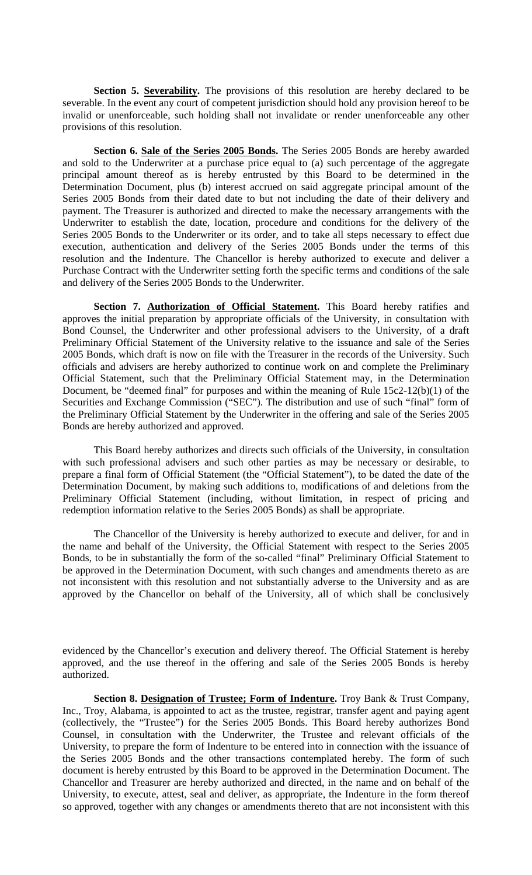**Section 5. Severability.** The provisions of this resolution are hereby declared to be severable. In the event any court of competent jurisdiction should hold any provision hereof to be invalid or unenforceable, such holding shall not invalidate or render unenforceable any other provisions of this resolution.

**Section 6. Sale of the Series 2005 Bonds.** The Series 2005 Bonds are hereby awarded and sold to the Underwriter at a purchase price equal to (a) such percentage of the aggregate principal amount thereof as is hereby entrusted by this Board to be determined in the Determination Document, plus (b) interest accrued on said aggregate principal amount of the Series 2005 Bonds from their dated date to but not including the date of their delivery and payment. The Treasurer is authorized and directed to make the necessary arrangements with the Underwriter to establish the date, location, procedure and conditions for the delivery of the Series 2005 Bonds to the Underwriter or its order, and to take all steps necessary to effect due execution, authentication and delivery of the Series 2005 Bonds under the terms of this resolution and the Indenture. The Chancellor is hereby authorized to execute and deliver a Purchase Contract with the Underwriter setting forth the specific terms and conditions of the sale and delivery of the Series 2005 Bonds to the Underwriter.

**Section 7. Authorization of Official Statement.** This Board hereby ratifies and approves the initial preparation by appropriate officials of the University, in consultation with Bond Counsel, the Underwriter and other professional advisers to the University, of a draft Preliminary Official Statement of the University relative to the issuance and sale of the Series 2005 Bonds, which draft is now on file with the Treasurer in the records of the University. Such officials and advisers are hereby authorized to continue work on and complete the Preliminary Official Statement, such that the Preliminary Official Statement may, in the Determination Document, be "deemed final" for purposes and within the meaning of Rule 15c2-12(b)(1) of the Securities and Exchange Commission ("SEC"). The distribution and use of such "final" form of the Preliminary Official Statement by the Underwriter in the offering and sale of the Series 2005 Bonds are hereby authorized and approved.

This Board hereby authorizes and directs such officials of the University, in consultation with such professional advisers and such other parties as may be necessary or desirable, to prepare a final form of Official Statement (the "Official Statement"), to be dated the date of the Determination Document, by making such additions to, modifications of and deletions from the Preliminary Official Statement (including, without limitation, in respect of pricing and redemption information relative to the Series 2005 Bonds) as shall be appropriate.

The Chancellor of the University is hereby authorized to execute and deliver, for and in the name and behalf of the University, the Official Statement with respect to the Series 2005 Bonds, to be in substantially the form of the so-called "final" Preliminary Official Statement to be approved in the Determination Document, with such changes and amendments thereto as are not inconsistent with this resolution and not substantially adverse to the University and as are approved by the Chancellor on behalf of the University, all of which shall be conclusively

evidenced by the Chancellor's execution and delivery thereof. The Official Statement is hereby approved, and the use thereof in the offering and sale of the Series 2005 Bonds is hereby authorized.

**Section 8. Designation of Trustee; Form of Indenture.** Troy Bank & Trust Company, Inc., Troy, Alabama, is appointed to act as the trustee, registrar, transfer agent and paying agent (collectively, the "Trustee") for the Series 2005 Bonds. This Board hereby authorizes Bond Counsel, in consultation with the Underwriter, the Trustee and relevant officials of the University, to prepare the form of Indenture to be entered into in connection with the issuance of the Series 2005 Bonds and the other transactions contemplated hereby. The form of such document is hereby entrusted by this Board to be approved in the Determination Document. The Chancellor and Treasurer are hereby authorized and directed, in the name and on behalf of the University, to execute, attest, seal and deliver, as appropriate, the Indenture in the form thereof so approved, together with any changes or amendments thereto that are not inconsistent with this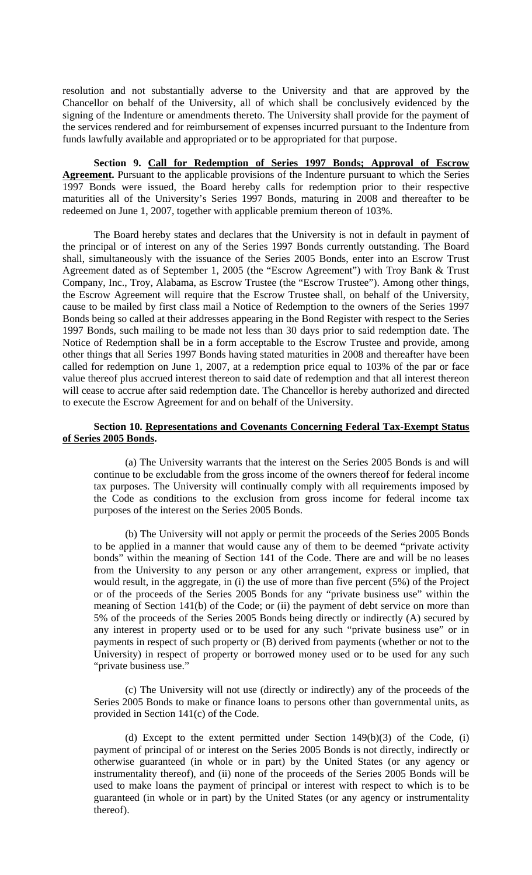resolution and not substantially adverse to the University and that are approved by the Chancellor on behalf of the University, all of which shall be conclusively evidenced by the signing of the Indenture or amendments thereto. The University shall provide for the payment of the services rendered and for reimbursement of expenses incurred pursuant to the Indenture from funds lawfully available and appropriated or to be appropriated for that purpose.

**Section 9. Call for Redemption of Series 1997 Bonds; Approval of Escrow Agreement.** Pursuant to the applicable provisions of the Indenture pursuant to which the Series 1997 Bonds were issued, the Board hereby calls for redemption prior to their respective maturities all of the University's Series 1997 Bonds, maturing in 2008 and thereafter to be redeemed on June 1, 2007, together with applicable premium thereon of 103%.

The Board hereby states and declares that the University is not in default in payment of the principal or of interest on any of the Series 1997 Bonds currently outstanding. The Board shall, simultaneously with the issuance of the Series 2005 Bonds, enter into an Escrow Trust Agreement dated as of September 1, 2005 (the "Escrow Agreement") with Troy Bank & Trust Company, Inc., Troy, Alabama, as Escrow Trustee (the "Escrow Trustee"). Among other things, the Escrow Agreement will require that the Escrow Trustee shall, on behalf of the University, cause to be mailed by first class mail a Notice of Redemption to the owners of the Series 1997 Bonds being so called at their addresses appearing in the Bond Register with respect to the Series 1997 Bonds, such mailing to be made not less than 30 days prior to said redemption date. The Notice of Redemption shall be in a form acceptable to the Escrow Trustee and provide, among other things that all Series 1997 Bonds having stated maturities in 2008 and thereafter have been called for redemption on June 1, 2007, at a redemption price equal to 103% of the par or face value thereof plus accrued interest thereon to said date of redemption and that all interest thereon will cease to accrue after said redemption date. The Chancellor is hereby authorized and directed to execute the Escrow Agreement for and on behalf of the University.

## **Section 10. Representations and Covenants Concerning Federal Tax-Exempt Status of Series 2005 Bonds.**

(a) The University warrants that the interest on the Series 2005 Bonds is and will continue to be excludable from the gross income of the owners thereof for federal income tax purposes. The University will continually comply with all requirements imposed by the Code as conditions to the exclusion from gross income for federal income tax purposes of the interest on the Series 2005 Bonds.

(b) The University will not apply or permit the proceeds of the Series 2005 Bonds to be applied in a manner that would cause any of them to be deemed "private activity bonds" within the meaning of Section 141 of the Code. There are and will be no leases from the University to any person or any other arrangement, express or implied, that would result, in the aggregate, in (i) the use of more than five percent (5%) of the Project or of the proceeds of the Series 2005 Bonds for any "private business use" within the meaning of Section 141(b) of the Code; or (ii) the payment of debt service on more than 5% of the proceeds of the Series 2005 Bonds being directly or indirectly (A) secured by any interest in property used or to be used for any such "private business use" or in payments in respect of such property or (B) derived from payments (whether or not to the University) in respect of property or borrowed money used or to be used for any such "private business use."

(c) The University will not use (directly or indirectly) any of the proceeds of the Series 2005 Bonds to make or finance loans to persons other than governmental units, as provided in Section 141(c) of the Code.

(d) Except to the extent permitted under Section 149(b)(3) of the Code, (i) payment of principal of or interest on the Series 2005 Bonds is not directly, indirectly or otherwise guaranteed (in whole or in part) by the United States (or any agency or instrumentality thereof), and (ii) none of the proceeds of the Series 2005 Bonds will be used to make loans the payment of principal or interest with respect to which is to be guaranteed (in whole or in part) by the United States (or any agency or instrumentality thereof).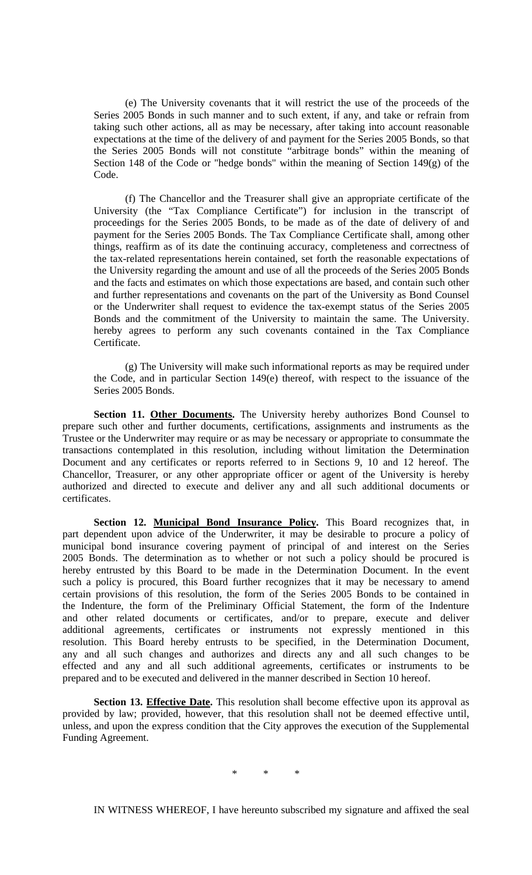(e) The University covenants that it will restrict the use of the proceeds of the Series 2005 Bonds in such manner and to such extent, if any, and take or refrain from taking such other actions, all as may be necessary, after taking into account reasonable expectations at the time of the delivery of and payment for the Series 2005 Bonds, so that the Series 2005 Bonds will not constitute "arbitrage bonds" within the meaning of Section 148 of the Code or "hedge bonds" within the meaning of Section 149(g) of the Code.

(f) The Chancellor and the Treasurer shall give an appropriate certificate of the University (the "Tax Compliance Certificate") for inclusion in the transcript of proceedings for the Series 2005 Bonds, to be made as of the date of delivery of and payment for the Series 2005 Bonds. The Tax Compliance Certificate shall, among other things, reaffirm as of its date the continuing accuracy, completeness and correctness of the tax-related representations herein contained, set forth the reasonable expectations of the University regarding the amount and use of all the proceeds of the Series 2005 Bonds and the facts and estimates on which those expectations are based, and contain such other and further representations and covenants on the part of the University as Bond Counsel or the Underwriter shall request to evidence the tax-exempt status of the Series 2005 Bonds and the commitment of the University to maintain the same. The University. hereby agrees to perform any such covenants contained in the Tax Compliance Certificate.

(g) The University will make such informational reports as may be required under the Code, and in particular Section 149(e) thereof, with respect to the issuance of the Series 2005 Bonds.

Section 11. Other Documents. The University hereby authorizes Bond Counsel to prepare such other and further documents, certifications, assignments and instruments as the Trustee or the Underwriter may require or as may be necessary or appropriate to consummate the transactions contemplated in this resolution, including without limitation the Determination Document and any certificates or reports referred to in Sections 9, 10 and 12 hereof. The Chancellor, Treasurer, or any other appropriate officer or agent of the University is hereby authorized and directed to execute and deliver any and all such additional documents or certificates.

**Section 12. Municipal Bond Insurance Policy.** This Board recognizes that, in part dependent upon advice of the Underwriter, it may be desirable to procure a policy of municipal bond insurance covering payment of principal of and interest on the Series 2005 Bonds. The determination as to whether or not such a policy should be procured is hereby entrusted by this Board to be made in the Determination Document. In the event such a policy is procured, this Board further recognizes that it may be necessary to amend certain provisions of this resolution, the form of the Series 2005 Bonds to be contained in the Indenture, the form of the Preliminary Official Statement, the form of the Indenture and other related documents or certificates, and/or to prepare, execute and deliver additional agreements, certificates or instruments not expressly mentioned in this resolution. This Board hereby entrusts to be specified, in the Determination Document, any and all such changes and authorizes and directs any and all such changes to be effected and any and all such additional agreements, certificates or instruments to be prepared and to be executed and delivered in the manner described in Section 10 hereof.

Section 13. **Effective Date**. This resolution shall become effective upon its approval as provided by law; provided, however, that this resolution shall not be deemed effective until, unless, and upon the express condition that the City approves the execution of the Supplemental Funding Agreement.

\* \* \*

IN WITNESS WHEREOF, I have hereunto subscribed my signature and affixed the seal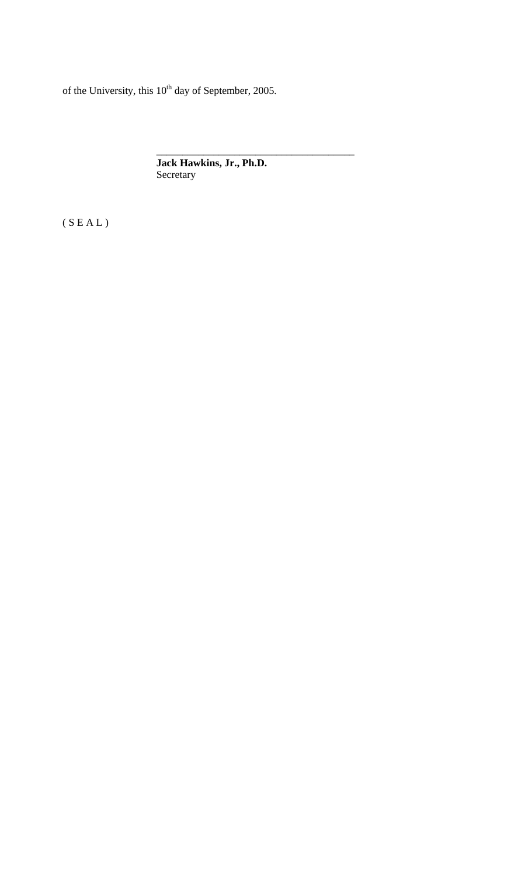of the University, this  $10^{th}$  day of September, 2005.

**Jack Hawkins, Jr., Ph.D.**  Secretary

\_\_\_\_\_\_\_\_\_\_\_\_\_\_\_\_\_\_\_\_\_\_\_\_\_\_\_\_\_\_\_\_\_\_\_\_\_\_

 $(S E A L)$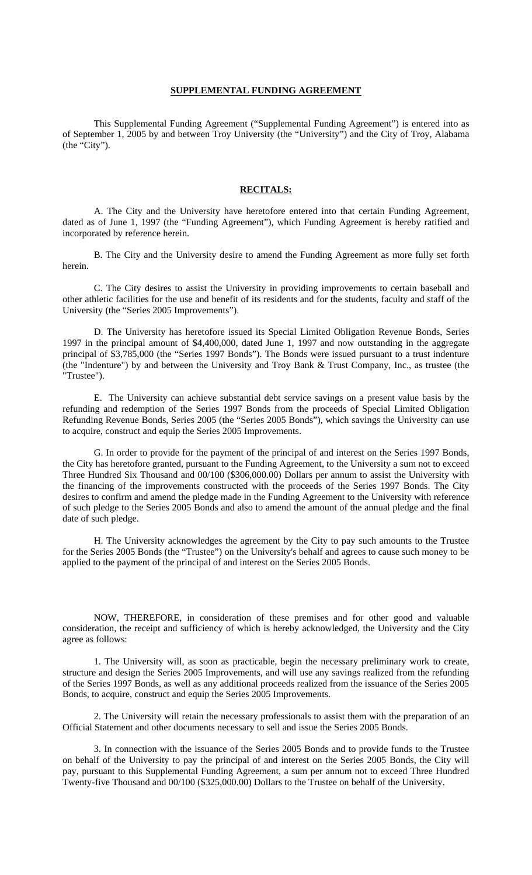### **SUPPLEMENTAL FUNDING AGREEMENT**

 This Supplemental Funding Agreement ("Supplemental Funding Agreement") is entered into as of September 1, 2005 by and between Troy University (the "University") and the City of Troy, Alabama (the "City").

### **RECITALS:**

 A. The City and the University have heretofore entered into that certain Funding Agreement, dated as of June 1, 1997 (the "Funding Agreement"), which Funding Agreement is hereby ratified and incorporated by reference herein.

 B. The City and the University desire to amend the Funding Agreement as more fully set forth herein.

 C. The City desires to assist the University in providing improvements to certain baseball and other athletic facilities for the use and benefit of its residents and for the students, faculty and staff of the University (the "Series 2005 Improvements").

 D. The University has heretofore issued its Special Limited Obligation Revenue Bonds, Series 1997 in the principal amount of \$4,400,000, dated June 1, 1997 and now outstanding in the aggregate principal of \$3,785,000 (the "Series 1997 Bonds"). The Bonds were issued pursuant to a trust indenture (the "Indenture") by and between the University and Troy Bank & Trust Company, Inc., as trustee (the "Trustee").

 E. The University can achieve substantial debt service savings on a present value basis by the refunding and redemption of the Series 1997 Bonds from the proceeds of Special Limited Obligation Refunding Revenue Bonds, Series 2005 (the "Series 2005 Bonds"), which savings the University can use to acquire, construct and equip the Series 2005 Improvements.

 G. In order to provide for the payment of the principal of and interest on the Series 1997 Bonds, the City has heretofore granted, pursuant to the Funding Agreement, to the University a sum not to exceed Three Hundred Six Thousand and 00/100 (\$306,000.00) Dollars per annum to assist the University with the financing of the improvements constructed with the proceeds of the Series 1997 Bonds. The City desires to confirm and amend the pledge made in the Funding Agreement to the University with reference of such pledge to the Series 2005 Bonds and also to amend the amount of the annual pledge and the final date of such pledge.

 H. The University acknowledges the agreement by the City to pay such amounts to the Trustee for the Series 2005 Bonds (the "Trustee") on the University's behalf and agrees to cause such money to be applied to the payment of the principal of and interest on the Series 2005 Bonds.

 NOW, THEREFORE, in consideration of these premises and for other good and valuable consideration, the receipt and sufficiency of which is hereby acknowledged, the University and the City agree as follows:

 1. The University will, as soon as practicable, begin the necessary preliminary work to create, structure and design the Series 2005 Improvements, and will use any savings realized from the refunding of the Series 1997 Bonds, as well as any additional proceeds realized from the issuance of the Series 2005 Bonds, to acquire, construct and equip the Series 2005 Improvements.

 2. The University will retain the necessary professionals to assist them with the preparation of an Official Statement and other documents necessary to sell and issue the Series 2005 Bonds.

 3. In connection with the issuance of the Series 2005 Bonds and to provide funds to the Trustee on behalf of the University to pay the principal of and interest on the Series 2005 Bonds, the City will pay, pursuant to this Supplemental Funding Agreement, a sum per annum not to exceed Three Hundred Twenty-five Thousand and 00/100 (\$325,000.00) Dollars to the Trustee on behalf of the University.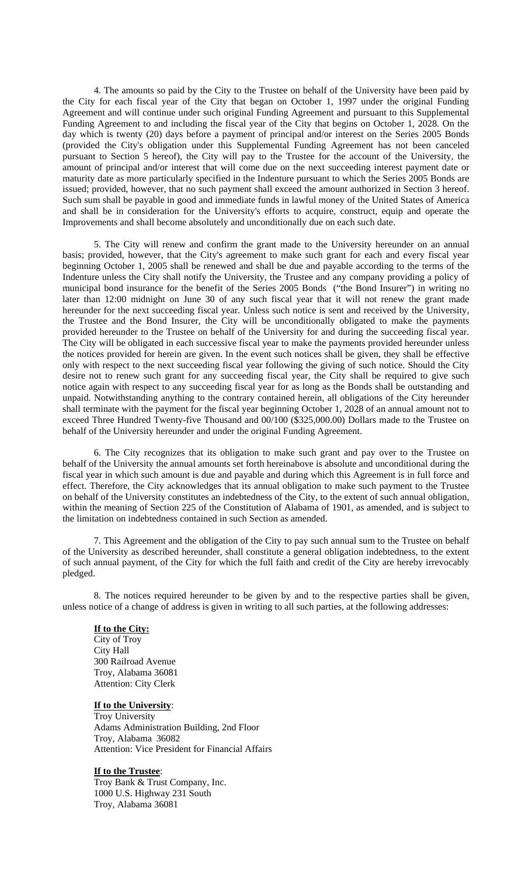4. The amounts so paid by the City to the Trustee on behalf of the University have been paid by the City for each fiscal year of the City that began on October 1, 1997 under the original Funding Agreement and will continue under such original Funding Agreement and pursuant to this Supplemental Funding Agreement to and including the fiscal year of the City that begins on October 1, 2028. On the day which is twenty (20) days before a payment of principal and/or interest on the Series 2005 Bonds (provided the City's obligation under this Supplemental Funding Agreement has not been canceled pursuant to Section 5 hereof), the City will pay to the Trustee for the account of the University, the amount of principal and/or interest that will come due on the next succeeding interest payment date or maturity date as more particularly specified in the Indenture pursuant to which the Series 2005 Bonds are issued; provided, however, that no such payment shall exceed the amount authorized in Section 3 hereof. Such sum shall be payable in good and immediate funds in lawful money of the United States of America and shall be in consideration for the University's efforts to acquire, construct, equip and operate the Improvements and shall become absolutely and unconditionally due on each such date.

 5. The City will renew and confirm the grant made to the University hereunder on an annual basis; provided, however, that the City's agreement to make such grant for each and every fiscal year beginning October 1, 2005 shall be renewed and shall be due and payable according to the terms of the Indenture unless the City shall notify the University, the Trustee and any company providing a policy of municipal bond insurance for the benefit of the Series 2005 Bonds ("the Bond Insurer") in writing no later than 12:00 midnight on June 30 of any such fiscal year that it will not renew the grant made hereunder for the next succeeding fiscal year. Unless such notice is sent and received by the University, the Trustee and the Bond Insurer, the City will be unconditionally obligated to make the payments provided hereunder to the Trustee on behalf of the University for and during the succeeding fiscal year. The City will be obligated in each successive fiscal year to make the payments provided hereunder unless the notices provided for herein are given. In the event such notices shall be given, they shall be effective only with respect to the next succeeding fiscal year following the giving of such notice. Should the City desire not to renew such grant for any succeeding fiscal year, the City shall be required to give such notice again with respect to any succeeding fiscal year for as long as the Bonds shall be outstanding and unpaid. Notwithstanding anything to the contrary contained herein, all obligations of the City hereunder shall terminate with the payment for the fiscal year beginning October 1, 2028 of an annual amount not to exceed Three Hundred Twenty-five Thousand and 00/100 (\$325,000.00) Dollars made to the Trustee on behalf of the University hereunder and under the original Funding Agreement.

 6. The City recognizes that its obligation to make such grant and pay over to the Trustee on behalf of the University the annual amounts set forth hereinabove is absolute and unconditional during the fiscal year in which such amount is due and payable and during which this Agreement is in full force and effect. Therefore, the City acknowledges that its annual obligation to make such payment to the Trustee on behalf of the University constitutes an indebtedness of the City, to the extent of such annual obligation, within the meaning of Section 225 of the Constitution of Alabama of 1901, as amended, and is subject to the limitation on indebtedness contained in such Section as amended.

 7. This Agreement and the obligation of the City to pay such annual sum to the Trustee on behalf of the University as described hereunder, shall constitute a general obligation indebtedness, to the extent of such annual payment, of the City for which the full faith and credit of the City are hereby irrevocably pledged.

 8. The notices required hereunder to be given by and to the respective parties shall be given, unless notice of a change of address is given in writing to all such parties, at the following addresses:

### **If to the City:**

 City of Troy City Hall 300 Railroad Avenue Troy, Alabama 36081 Attention: City Clerk

### **If to the University**:

 Troy University Adams Administration Building, 2nd Floor Troy, Alabama 36082 Attention: Vice President for Financial Affairs

#### **If to the Trustee**:

 Troy Bank & Trust Company, Inc. 1000 U.S. Highway 231 South Troy, Alabama 36081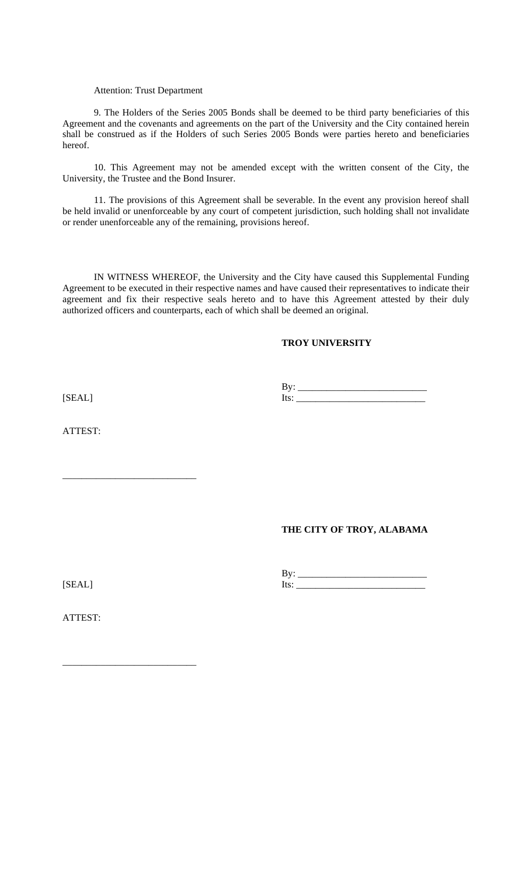### Attention: Trust Department

 9. The Holders of the Series 2005 Bonds shall be deemed to be third party beneficiaries of this Agreement and the covenants and agreements on the part of the University and the City contained herein shall be construed as if the Holders of such Series 2005 Bonds were parties hereto and beneficiaries hereof.

 10. This Agreement may not be amended except with the written consent of the City, the University, the Trustee and the Bond Insurer.

 11. The provisions of this Agreement shall be severable. In the event any provision hereof shall be held invalid or unenforceable by any court of competent jurisdiction, such holding shall not invalidate or render unenforceable any of the remaining, provisions hereof.

 IN WITNESS WHEREOF, the University and the City have caused this Supplemental Funding Agreement to be executed in their respective names and have caused their representatives to indicate their agreement and fix their respective seals hereto and to have this Agreement attested by their duly authorized officers and counterparts, each of which shall be deemed an original.

## **TROY UNIVERSITY**

 $[SEAL]$   $[SEAL]$  $Its:\underline{\hspace{1cm}}$ 

ATTEST:

\_\_\_\_\_\_\_\_\_\_\_\_\_\_\_\_\_\_\_\_\_\_\_\_\_\_\_\_

\_\_\_\_\_\_\_\_\_\_\_\_\_\_\_\_\_\_\_\_\_\_\_\_\_\_\_\_

## **THE CITY OF TROY, ALABAMA**

 By: \_\_\_\_\_\_\_\_\_\_\_\_\_\_\_\_\_\_\_\_\_\_\_\_\_\_\_ [SEAL] Its: \_\_\_\_\_\_\_\_\_\_\_\_\_\_\_\_\_\_\_\_\_\_\_\_\_\_\_

ATTEST: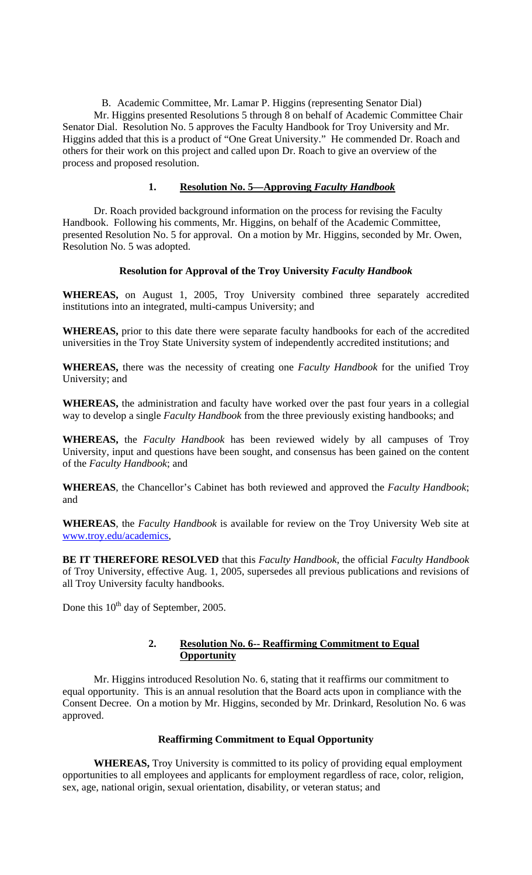B. Academic Committee, Mr. Lamar P. Higgins (representing Senator Dial) Mr. Higgins presented Resolutions 5 through 8 on behalf of Academic Committee Chair Senator Dial. Resolution No. 5 approves the Faculty Handbook for Troy University and Mr. Higgins added that this is a product of "One Great University." He commended Dr. Roach and others for their work on this project and called upon Dr. Roach to give an overview of the process and proposed resolution.

## **1. Resolution No. 5—Approving** *Faculty Handbook*

Dr. Roach provided background information on the process for revising the Faculty Handbook. Following his comments, Mr. Higgins, on behalf of the Academic Committee, presented Resolution No. 5 for approval. On a motion by Mr. Higgins, seconded by Mr. Owen, Resolution No. 5 was adopted.

## **Resolution for Approval of the Troy University** *Faculty Handbook*

**WHEREAS,** on August 1, 2005, Troy University combined three separately accredited institutions into an integrated, multi-campus University; and

**WHEREAS,** prior to this date there were separate faculty handbooks for each of the accredited universities in the Troy State University system of independently accredited institutions; and

**WHEREAS,** there was the necessity of creating one *Faculty Handbook* for the unified Troy University; and

**WHEREAS,** the administration and faculty have worked over the past four years in a collegial way to develop a single *Faculty Handbook* from the three previously existing handbooks; and

**WHEREAS,** the *Faculty Handbook* has been reviewed widely by all campuses of Troy University, input and questions have been sought, and consensus has been gained on the content of the *Faculty Handbook*; and

**WHEREAS**, the Chancellor's Cabinet has both reviewed and approved the *Faculty Handbook*; and

**WHEREAS**, the *Faculty Handbook* is available for review on the Troy University Web site at [www.troy.edu/academics,](http://www.troy.edu/academics)

**BE IT THEREFORE RESOLVED** that this *Faculty Handbook*, the official *Faculty Handbook* of Troy University, effective Aug. 1, 2005, supersedes all previous publications and revisions of all Troy University faculty handbooks.

Done this  $10^{th}$  day of September, 2005.

# **2. Resolution No. 6-- Reaffirming Commitment to Equal Opportunity**

Mr. Higgins introduced Resolution No. 6, stating that it reaffirms our commitment to equal opportunity. This is an annual resolution that the Board acts upon in compliance with the Consent Decree. On a motion by Mr. Higgins, seconded by Mr. Drinkard, Resolution No. 6 was approved.

# **Reaffirming Commitment to Equal Opportunity**

**WHEREAS,** Troy University is committed to its policy of providing equal employment opportunities to all employees and applicants for employment regardless of race, color, religion, sex, age, national origin, sexual orientation, disability, or veteran status; and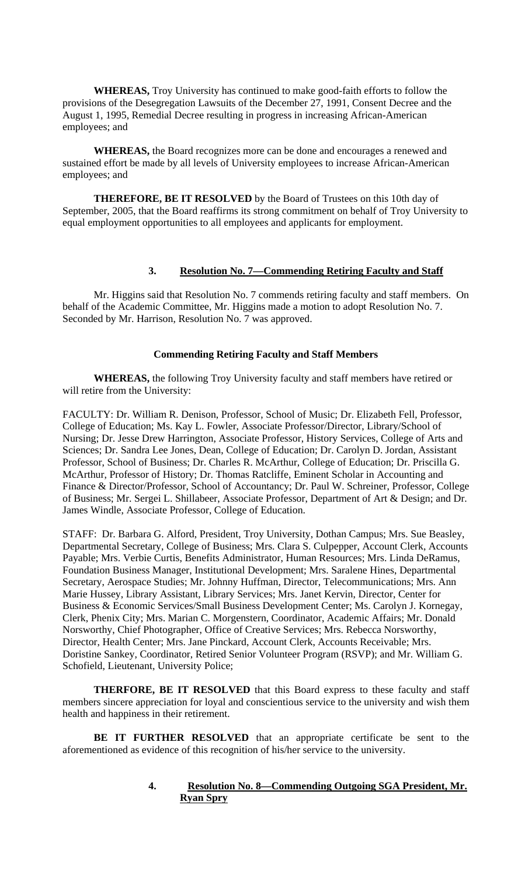**WHEREAS,** Troy University has continued to make good-faith efforts to follow the provisions of the Desegregation Lawsuits of the December 27, 1991, Consent Decree and the August 1, 1995, Remedial Decree resulting in progress in increasing African-American employees; and

**WHEREAS,** the Board recognizes more can be done and encourages a renewed and sustained effort be made by all levels of University employees to increase African-American employees; and

**THEREFORE, BE IT RESOLVED** by the Board of Trustees on this 10th day of September, 2005, that the Board reaffirms its strong commitment on behalf of Troy University to equal employment opportunities to all employees and applicants for employment.

# **3. Resolution No. 7—Commending Retiring Faculty and Staff**

Mr. Higgins said that Resolution No. 7 commends retiring faculty and staff members. On behalf of the Academic Committee, Mr. Higgins made a motion to adopt Resolution No. 7. Seconded by Mr. Harrison, Resolution No. 7 was approved.

## **Commending Retiring Faculty and Staff Members**

**WHEREAS,** the following Troy University faculty and staff members have retired or will retire from the University:

FACULTY: Dr. William R. Denison, Professor, School of Music; Dr. Elizabeth Fell, Professor, College of Education; Ms. Kay L. Fowler, Associate Professor/Director, Library/School of Nursing; Dr. Jesse Drew Harrington, Associate Professor, History Services, College of Arts and Sciences; Dr. Sandra Lee Jones, Dean, College of Education; Dr. Carolyn D. Jordan, Assistant Professor, School of Business; Dr. Charles R. McArthur, College of Education; Dr. Priscilla G. McArthur, Professor of History; Dr. Thomas Ratcliffe, Eminent Scholar in Accounting and Finance & Director/Professor, School of Accountancy; Dr. Paul W. Schreiner, Professor, College of Business; Mr. Sergei L. Shillabeer, Associate Professor, Department of Art & Design; and Dr. James Windle, Associate Professor, College of Education.

STAFF: Dr. Barbara G. Alford, President, Troy University, Dothan Campus; Mrs. Sue Beasley, Departmental Secretary, College of Business; Mrs. Clara S. Culpepper, Account Clerk, Accounts Payable; Mrs. Verbie Curtis, Benefits Administrator, Human Resources; Mrs. Linda DeRamus, Foundation Business Manager, Institutional Development; Mrs. Saralene Hines, Departmental Secretary, Aerospace Studies; Mr. Johnny Huffman, Director, Telecommunications; Mrs. Ann Marie Hussey, Library Assistant, Library Services; Mrs. Janet Kervin, Director, Center for Business & Economic Services/Small Business Development Center; Ms. Carolyn J. Kornegay, Clerk, Phenix City; Mrs. Marian C. Morgenstern, Coordinator, Academic Affairs; Mr. Donald Norsworthy, Chief Photographer, Office of Creative Services; Mrs. Rebecca Norsworthy, Director, Health Center; Mrs. Jane Pinckard, Account Clerk, Accounts Receivable; Mrs. Doristine Sankey, Coordinator, Retired Senior Volunteer Program (RSVP); and Mr. William G. Schofield, Lieutenant, University Police;

**THERFORE, BE IT RESOLVED** that this Board express to these faculty and staff members sincere appreciation for loyal and conscientious service to the university and wish them health and happiness in their retirement.

**BE IT FURTHER RESOLVED** that an appropriate certificate be sent to the aforementioned as evidence of this recognition of his/her service to the university.

## **4. Resolution No. 8—Commending Outgoing SGA President, Mr. Ryan Spry**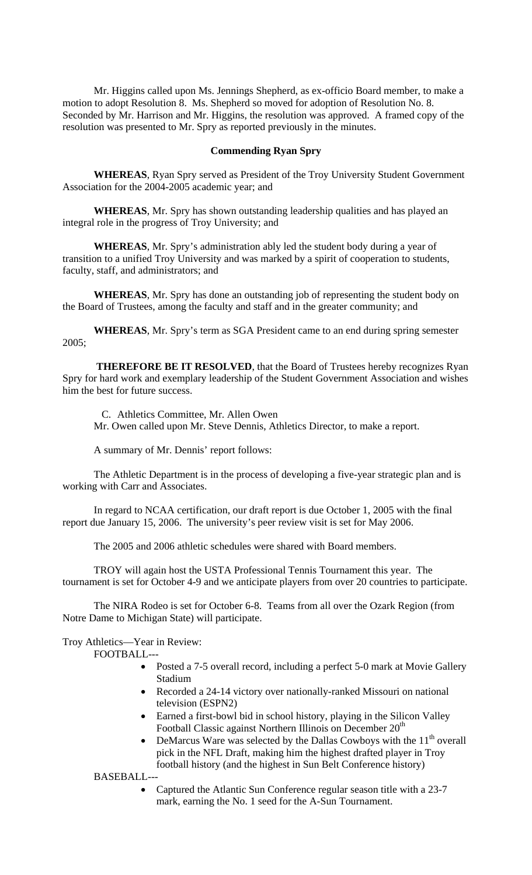Mr. Higgins called upon Ms. Jennings Shepherd, as ex-officio Board member, to make a motion to adopt Resolution 8. Ms. Shepherd so moved for adoption of Resolution No. 8. Seconded by Mr. Harrison and Mr. Higgins, the resolution was approved. A framed copy of the resolution was presented to Mr. Spry as reported previously in the minutes.

### **Commending Ryan Spry**

**WHEREAS**, Ryan Spry served as President of the Troy University Student Government Association for the 2004-2005 academic year; and

**WHEREAS**, Mr. Spry has shown outstanding leadership qualities and has played an integral role in the progress of Troy University; and

**WHEREAS**, Mr. Spry's administration ably led the student body during a year of transition to a unified Troy University and was marked by a spirit of cooperation to students, faculty, staff, and administrators; and

**WHEREAS**, Mr. Spry has done an outstanding job of representing the student body on the Board of Trustees, among the faculty and staff and in the greater community; and

**WHEREAS**, Mr. Spry's term as SGA President came to an end during spring semester 2005;

**THEREFORE BE IT RESOLVED**, that the Board of Trustees hereby recognizes Ryan Spry for hard work and exemplary leadership of the Student Government Association and wishes him the best for future success.

C. Athletics Committee, Mr. Allen Owen Mr. Owen called upon Mr. Steve Dennis, Athletics Director, to make a report.

A summary of Mr. Dennis' report follows:

 The Athletic Department is in the process of developing a five-year strategic plan and is working with Carr and Associates.

 In regard to NCAA certification, our draft report is due October 1, 2005 with the final report due January 15, 2006. The university's peer review visit is set for May 2006.

The 2005 and 2006 athletic schedules were shared with Board members.

 TROY will again host the USTA Professional Tennis Tournament this year. The tournament is set for October 4-9 and we anticipate players from over 20 countries to participate.

 The NIRA Rodeo is set for October 6-8. Teams from all over the Ozark Region (from Notre Dame to Michigan State) will participate.

Troy Athletics—Year in Review:

FOOTBALL---

- Posted a 7-5 overall record, including a perfect 5-0 mark at Movie Gallery Stadium
- Recorded a 24-14 victory over nationally-ranked Missouri on national television (ESPN2)
- Earned a first-bowl bid in school history, playing in the Silicon Valley Football Classic against Northern Illinois on December 20<sup>th</sup>
- DeMarcus Ware was selected by the Dallas Cowboys with the  $11<sup>th</sup>$  overall pick in the NFL Draft, making him the highest drafted player in Troy football history (and the highest in Sun Belt Conference history)

BASEBALL---

• Captured the Atlantic Sun Conference regular season title with a 23-7 mark, earning the No. 1 seed for the A-Sun Tournament.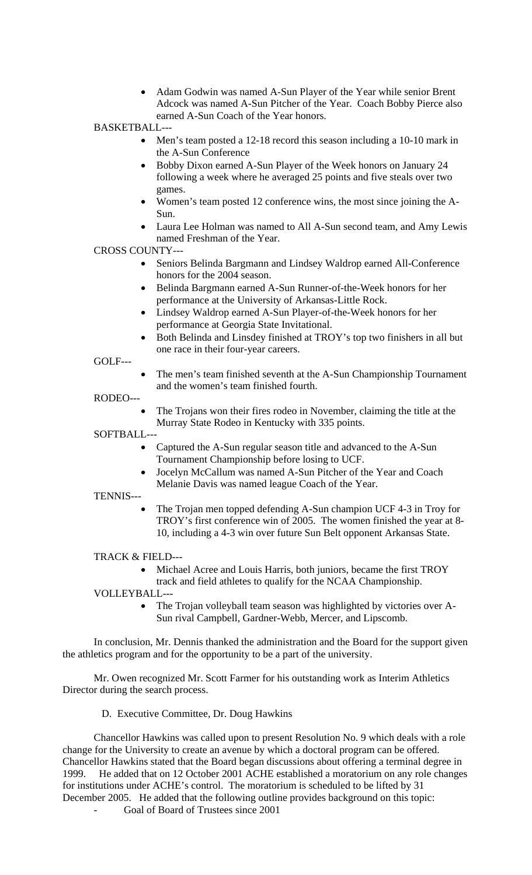- Adam Godwin was named A-Sun Player of the Year while senior Brent Adcock was named A-Sun Pitcher of the Year. Coach Bobby Pierce also earned A-Sun Coach of the Year honors.
- BASKETBALL---
	- Men's team posted a 12-18 record this season including a 10-10 mark in the A-Sun Conference
	- Bobby Dixon earned A-Sun Player of the Week honors on January 24 following a week where he averaged 25 points and five steals over two games.
	- Women's team posted 12 conference wins, the most since joining the A-Sun.
	- Laura Lee Holman was named to All A-Sun second team, and Amy Lewis named Freshman of the Year.

CROSS COUNTY---

- Seniors Belinda Bargmann and Lindsey Waldrop earned All-Conference honors for the 2004 season.
- Belinda Bargmann earned A-Sun Runner-of-the-Week honors for her performance at the University of Arkansas-Little Rock.
- Lindsey Waldrop earned A-Sun Player-of-the-Week honors for her performance at Georgia State Invitational.
- Both Belinda and Linsdey finished at TROY's top two finishers in all but one race in their four-year careers.

GOLF---

• The men's team finished seventh at the A-Sun Championship Tournament and the women's team finished fourth.

RODEO---

• The Trojans won their fires rodeo in November, claiming the title at the Murray State Rodeo in Kentucky with 335 points.

SOFTBALL---

- Captured the A-Sun regular season title and advanced to the A-Sun Tournament Championship before losing to UCF.
- Jocelyn McCallum was named A-Sun Pitcher of the Year and Coach Melanie Davis was named league Coach of the Year.

TENNIS---

• The Trojan men topped defending A-Sun champion UCF 4-3 in Troy for TROY's first conference win of 2005. The women finished the year at 8- 10, including a 4-3 win over future Sun Belt opponent Arkansas State.

TRACK & FIELD---

• Michael Acree and Louis Harris, both juniors, became the first TROY

track and field athletes to qualify for the NCAA Championship.

VOLLEYBALL-

• The Trojan volleyball team season was highlighted by victories over A-Sun rival Campbell, Gardner-Webb, Mercer, and Lipscomb.

In conclusion, Mr. Dennis thanked the administration and the Board for the support given the athletics program and for the opportunity to be a part of the university.

 Mr. Owen recognized Mr. Scott Farmer for his outstanding work as Interim Athletics Director during the search process.

D. Executive Committee, Dr. Doug Hawkins

Chancellor Hawkins was called upon to present Resolution No. 9 which deals with a role change for the University to create an avenue by which a doctoral program can be offered. Chancellor Hawkins stated that the Board began discussions about offering a terminal degree in 1999. He added that on 12 October 2001 ACHE established a moratorium on any role changes for institutions under ACHE's control. The moratorium is scheduled to be lifted by 31 December 2005. He added that the following outline provides background on this topic:

Goal of Board of Trustees since 2001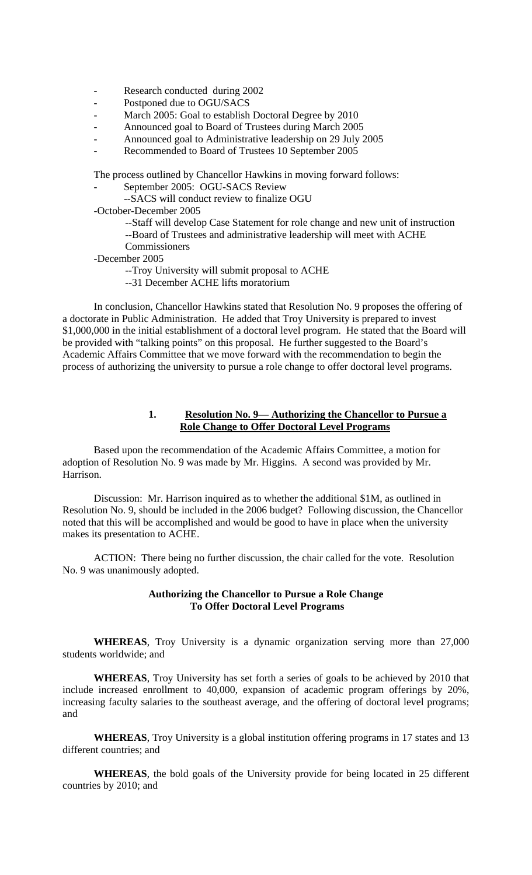- Research conducted during 2002
- Postponed due to OGU/SACS
- March 2005: Goal to establish Doctoral Degree by 2010
- Announced goal to Board of Trustees during March 2005
- Announced goal to Administrative leadership on 29 July 2005
- Recommended to Board of Trustees 10 September 2005

The process outlined by Chancellor Hawkins in moving forward follows:

- September 2005: OGU-SACS Review
- --SACS will conduct review to finalize OGU
- -October-December 2005
	- --Staff will develop Case Statement for role change and new unit of instruction --Board of Trustees and administrative leadership will meet with ACHE Commissioners
- -December 2005
	- --Troy University will submit proposal to ACHE
	- --31 December ACHE lifts moratorium

 In conclusion, Chancellor Hawkins stated that Resolution No. 9 proposes the offering of a doctorate in Public Administration. He added that Troy University is prepared to invest \$1,000,000 in the initial establishment of a doctoral level program. He stated that the Board will be provided with "talking points" on this proposal. He further suggested to the Board's Academic Affairs Committee that we move forward with the recommendation to begin the process of authorizing the university to pursue a role change to offer doctoral level programs.

## **1. Resolution No. 9— Authorizing the Chancellor to Pursue a Role Change to Offer Doctoral Level Programs**

Based upon the recommendation of the Academic Affairs Committee, a motion for adoption of Resolution No. 9 was made by Mr. Higgins. A second was provided by Mr. Harrison.

Discussion: Mr. Harrison inquired as to whether the additional \$1M, as outlined in Resolution No. 9, should be included in the 2006 budget? Following discussion, the Chancellor noted that this will be accomplished and would be good to have in place when the university makes its presentation to ACHE.

 ACTION: There being no further discussion, the chair called for the vote. Resolution No. 9 was unanimously adopted.

## **Authorizing the Chancellor to Pursue a Role Change To Offer Doctoral Level Programs**

**WHEREAS**, Troy University is a dynamic organization serving more than 27,000 students worldwide; and

**WHEREAS**, Troy University has set forth a series of goals to be achieved by 2010 that include increased enrollment to 40,000, expansion of academic program offerings by 20%, increasing faculty salaries to the southeast average, and the offering of doctoral level programs; and

**WHEREAS**, Troy University is a global institution offering programs in 17 states and 13 different countries; and

**WHEREAS**, the bold goals of the University provide for being located in 25 different countries by 2010; and